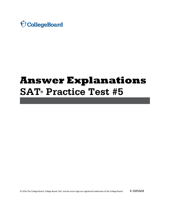

# **Answer Explanations SAT<sup>®</sup> Practice Test #5**

© 2016 The College Board. College Board, SAT, and the acorn logo are registered trademarks of the College Board. K-5MSA04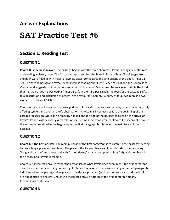## **Answer Explanations**

## **SAT Practice Test #5**

## **Section 1: Reading Test**

#### **QUESTION 1**

**Choice D is the best answer**. The passage begins with the main character, Lymie, sitting in a restaurant and reading a history book. The first paragraph describes the book in front of him ("Blank pages front and back were filled in with maps, drawings, dates, comic cartoons, and organs of the body," lines 11- 13). The second paragraph reveals what Lymie is reading about (the Peace of Paris and the Congress of Vienna) and suggests his intense concentration on the book ("sometimes he swallowed whole the food that he had no idea he was eating," lines 23-24). In the third paragraph, the focus of the passage shifts to a description and discussion of others in the restaurant, namely "A party of four, two men and two women . . . " (lines 42-43).

Choice A is incorrect because the passage does not provide observations made by other characters, only offering Lymie's and the narrator's observations. Choice B is incorrect because the beginning of the passage focuses on Lymie as he reads by himself and the end of the passage focuses on the arrival of Lymie's father, with whom Lymie's relationship seems somewhat strained. Choice C is incorrect because the setting is described in the beginning of the first paragraph but is never the main focus of the passage.

#### **QUESTION 2**

**Choice C is the best answer**. The main purpose of the first paragraph is to establish the passage's setting by describing a place and an object. The place is the Alcazar Restaurant, which is described as being "long and narrow" and decorated with "*art moderne*," murals, and plants (lines 2-6), and the object is the history book Lymie is reading.

Choice A is incorrect because rather than establishing what Lymie does every night, the first paragraph describes what Lymie is doing on *one* night. Choice B is incorrect because nothing in the first paragraph indicates when the passage takes place, as the details provided (such as the restaurant and the book) are not specific to one era. Choice D is incorrect because nothing in the first paragraph clearly foreshadows a later event.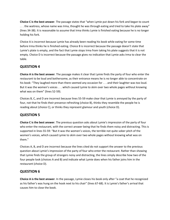**Choice C is the best answer**. The passage states that "when Lymie put down his fork and began to count . . . the waitress, whose name was Irma, thought he was through eating and tried to take his plate away" (lines 34-38). It is reasonable to assume that Irma thinks Lymie is finished eating because he is no longer holding his fork.

Choice A is incorrect because Lymie has already been reading his book while eating for some time before Irma thinks he is finished eating. Choice B is incorrect because the passage doesn't state that Lymie's plate is empty, and the fact that Lymie stops Irma from taking his plate suggests that it is not empty. Choice D is incorrect because the passage gives no indication that Lymie asks Irma to clear the table.

#### **QUESTION 4**

**Choice A is the best answer**. The passage makes it clear that Lymie finds the party of four who enter the restaurant to be loud and bothersome, as their entrance means he is no longer able to concentrate on his book: "They laughed more than there seemed any occasion for . . . and their laughter was too loud. But it was the women's voices . . . which caused Lymie to skim over two whole pages without knowing what was on them" (lines 52-59).

Choices B, C, and D are incorrect because lines 55-59 make clear that Lymie is annoyed by the party of four, not that he finds their presence refreshing (choice B), thinks they resemble the people he is reading about (choice C), or thinks they represent glamour and youth (choice D).

#### **QUESTION 5**

**Choice C is the best answer**. The previous question asks about Lymie's impression of the party of four who enter the restaurant, with the correct answer being that he finds them noisy and distracting. This is supported in lines 55-59: "But it was the women's voices, the terrible not quite sober pitch of the women's voices, which caused Lymie to skim over two whole pages without knowing what was on them."

Choices A, B, and D are incorrect because the lines cited do not support the answer to the previous question about Lymie's impression of the party of four who enter the restaurant. Rather than showing that Lymie finds the group of strangers noisy and distracting, the lines simply describe how two of the four people look (choices A and B) and indicate what Lymie does when his father joins him in the restaurant (choice D).

#### **QUESTION 6**

**Choice A is the best answer**. In the passage, Lymie closes his book only after "a coat that he recognized as his father's was hung on the hook next to his chair" (lines 67-68). It is Lymie's father's arrival that causes him to close the book.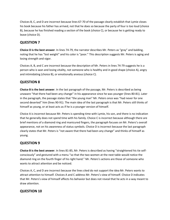Choices B, C, and D are incorrect because lines 67-70 of the passage clearly establish that Lymie closes his book because his father has arrived, not that he does so because the party of four is too loud (choice B), because he has finished reading a section of the book (choice C), or because he is getting ready to leave (choice D).

#### **QUESTION 7**

**Choice D is the best answer**. In lines 74-79, the narrator describes Mr. Peters as "gray" and balding, noting that he has "lost weight" and his color is "poor." This description suggests Mr. Peters is aging and losing strength and vigor.

Choices A, B, and C are incorrect because the description of Mr. Peters in lines 74-79 suggests he is a person who is wan and losing vitality, not someone who is healthy and in good shape (choice A), angry and intimidating (choice B), or emotionally anxious (choice C).

#### **QUESTION 8**

**Choice B is the best answer**. In the last paragraph of the passage, Mr. Peters is described as being unaware "that there had been any change" in his appearance since he was younger (lines 80-81). Later in the paragraph, the passage states that "the young man" Mr. Peters once was "had never for one second deserted" him (lines 90-91). The main idea of the last paragraph is that Mr. Peters still thinks of himself as young, or at least acts as if he is a younger version of himself.

Choice A is incorrect because Mr. Peters is spending time with Lymie, his son, and there is no indication that he generally does not spend time with his family. Choice C is incorrect because although there are brief mentions of a diamond ring and manicured fingers, the paragraph focuses on Mr. Peters's overall appearance, not on his awareness of status symbols. Choice D is incorrect because the last paragraph clearly states that Mr. Peters is "not aware that there had been any change" and thinks of himself as young.

#### **QUESTION 9**

**Choice B is the best answer**. In lines 81-85, Mr. Peters is described as having "straightened his tie selfconsciously" and gestured with a menu "so that the two women at the next table would notice the diamond ring on the fourth finger of his right hand." Mr. Peters's actions are those of someone who wants to attract attention and be noticed.

Choices A, C, and D are incorrect because the lines cited do not support the idea Mr. Peters wants to attract attention to himself. Choices A and C address Mr. Peters's view of himself. Choice D indicates that Mr. Peters's view of himself affects his behavior but does not reveal that he acts in a way meant to draw attention.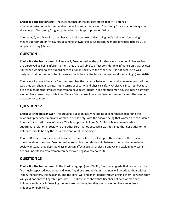**Choice B is the best answer**. The last sentence of the passage states that Mr. Peters's mischaracterization of himself makes him act in ways that are not "becoming" for a man of his age. In this context, "becoming" suggests behavior that is appropriate or fitting.

Choices A, C, and D are incorrect because in the context of describing one's behavior, "becoming" means appropriate or fitting, not becoming known (choice A), becoming more advanced (choice C), or simply occurring (choice D).

#### **QUESTION 11**

**Choice B is the best answer**. In Passage 1, Beecher makes the point that even if women in her society are perceived as being inferior to men, they are still able to effect considerable influence on that society: "But while woman holds a subordinate relation in society to the other sex, it is not because it was designed that her duties or her influence should be any the less important, or all-pervading" (lines 6-10).

Choice A is incorrect because Beecher describes the dynamic between men and women in terms of the way they can change society, not in terms of security and physical safety. Choice C is incorrect because even though Beecher implies that women have fewer rights in society than men do, she doesn't say that women have fewer responsibilities. Choice D is incorrect because Beecher does not assert that women are superior to men.

#### **QUESTION 12**

**Choice A is the best answer**. The previous question asks what point Beecher makes regarding the relationship between men and women in her society, with the answer being that women are considered inferior but can still have influence. This is supported in lines 6-10: "But while woman holds a subordinate relation in society to the other sex, it is not because it was designed that her duties or her influence should be any the less important, or all-pervading."

Choices B, C, and D are incorrect because the lines cited do not support the answer to the previous question about the point Beecher makes regarding the relationship between men and women in her society. Instead, they describe ways men can affect society (choices B and C) and explain how certain actions undertaken by a woman can be viewed negatively (choice D).

#### **QUESTION 13**

**Choice B is the best answer**. In the third paragraph (lines 22-37), Beecher suggests that women can be "so much respected, esteemed and loved" by those around them that men will accede to their wishes: "then, the fathers, the husbands, and the sons, will find an influence thrown around them, to which they will yield not only willingly but proudly . . . ." These lines show that Beecher believes women can influence society by influencing the men around them; in other words, women have an indirect influence on public life.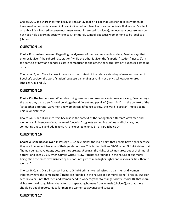Choices A, C, and D are incorrect because lines 34-37 make it clear that Beecher believes women do have an effect on society, even if it is an indirect effect. Beecher does not indicate that women's effect on public life is ignored because most men are not interested (choice A), unnecessary because men do not need help governing society (choice C), or merely symbolic because women tend to be idealistic (choice D).

#### **QUESTION 14**

**Choice D is the best answer**. Regarding the dynamic of men and women in society, Beecher says that one sex is given "the subordinate station" while the other is given the "superior" station (lines 1-2). In the context of how one gender exists in comparison to the other, the word "station" suggests a standing or rank.

Choices A, B, and C are incorrect because in the context of the relative standing of men and women in Beecher's society, the word "station" suggests a standing or rank, not a physical location or area (choices A, B, and C).

#### **QUESTION 15**

**Choice C is the best answer**. When describing how men and women can influence society, Beecher says the ways they can do so "should be altogether different and peculiar" (lines 11-12). In the context of the "altogether different" ways men and women can influence society, the word "peculiar" implies being unique or distinctive.

Choices A, B, and D are incorrect because in the context of the "altogether different" ways men and women can influence society, the word "peculiar" suggests something unique or distinctive, not something unusual and odd (choice A), unexpected (choice B), or rare (choice D).

#### **QUESTION 16**

**Choice A is the best answer**. In Passage 2, Grimké makes the main point that people have rights because they are human, not because of their gender or race. This is clear in lines 58-60, when Grimké states that "human beings have *rights*, because they are *moral* beings: the rights of *all* men grow out of their moral nature" and lines 65-68, when Grimké writes, "Now if rights are founded in the nature of our moral being, then the *mere circumstance of sex* does not give to man higher rights and responsibilities, than to woman."

Choices B, C, and D are incorrect because Grimké primarily emphasizes that all men and women inherently have the same rights ("rights are founded in the nature of our moral being," lines 65-66). Her central claim is not that men and women need to work together to change society (choice B), that moral rights are the distinguishing characteristic separating humans from animals (choice C), or that there should be equal opportunities for men and women to advance and succeed.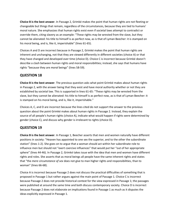**Choice B is the best answer**. In Passage 2, Grimké makes the point that human rights are not fleeting or changeable but things that remain, regardless of the circumstances, because they are tied to humans' moral nature. She emphasizes that human rights exist even if societal laws attempt to contradict or override them, citing slavery as an example: "These rights may be wrested from the slave, but they cannot be alienated: his title to himself is as perfect now, as is that of Lyman Beecher: it is stamped on his moral being, and is, like it, imperishable" (lines 61-65).

Choices A and D are incorrect because in Passage 2, Grimké makes the point that human rights are inherent and unchanging, not that they are viewed differently in different societies (choice A) or that they have changed and developed over time (choice D). Choice C is incorrect because Grimké doesn't describe a clash between human rights and moral responsibilities; instead, she says that humans have rights "because they are *moral* beings" (lines 58-59).

#### **QUESTION 18**

**Choice B is the best answer**. The previous question asks what point Grimké makes about human rights in Passage 2, with the answer being that they exist and have moral authority whether or not they are established by societal law. This is supported in lines 61-65: "These rights may be wrested from the slave, but they cannot be alienated: his title to himself is as perfect now, as is that of Lyman Beecher: it is stamped on his moral being, and is, like it, imperishable."

Choices A, C, and D are incorrect because the lines cited do not support the answer to the previous question about the point Grimké makes about human rights in Passage 2. Instead, they explain the source of all people's human rights (choice A), indicate what would happen if rights were determined by gender (choice C), and discuss why gender is irrelevant to rights (choice D).

#### **QUESTION 19**

**Choice B is the best answer**. In Passage 1, Beecher asserts that men and women naturally have different positions in society: "Heaven has appointed to one sex the superior, and to the other the subordinate station" (lines 1-2). She goes on to argue that a woman should act within her subordinate role to influence men but should not "exert coercive influences" that would put her "out of her appropriate sphere" (lines 44-46). In Passage 2, Grimké takes issue with the idea that men and women have different rights and roles. She asserts that as moral beings all people have the same inherent rights and states that "the *mere circumstance of sex* does not give to man higher rights and responsibilities, than to woman" (lines 66-68).

Choice A is incorrect because Passage 2 does not discuss the practical difficulties of something that is proposed in Passage 1 but rather argues against the main point of Passage 1. Choice C is incorrect because Passage 2 does not provide historical context for the view expressed in Passage 1; the passages were published at around the same time and both discuss contemporary society. Choice D is incorrect because Passage 2 does not elaborate on implications found in Passage 1 as much as it disputes the ideas explicitly expressed in Passage 1.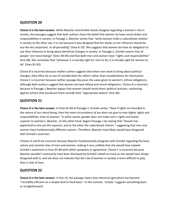#### **QUESTION 20**

**Choice A is the best answer**. While Beecher and Grimké clearly disagree regarding a woman's role in society, the passages suggest that both authors share the belief that women do have moral duties and responsibilities in society. In Passage 1, Beecher writes that "while woman holds a subordinate relation in society to the other sex, it is not because it was designed that her duties or her influence should be any the less important, or all-pervading" (lines 6-10). She suggests that women do have an obligation to use their influence to bring about beneficial changes in society. In Passage 2, Grimké asserts that all people "are *moral* beings" (lines 58-59) and that both men and women have "rights and responsibilities" (line 68). She concludes that "whatever it is morally right for man to do, it is morally right for woman to do" (lines 81-83).

Choice B is incorrect because neither author suggests that when men work to bring about political changes, they often do so out of consideration for others rather than considerations for themselves. Choice C is incorrect because neither passage discusses the value given to women's ethical obligations, although both authors suggest that women do have ethical and moral obligations. Choice D is incorrect because in Passage 1 Beecher argues that women should avoid direct political activism, cautioning against actions that would put them outside their "appropriate sphere" (line 46).

#### **QUESTION 21**

**Choice D is the best answer**. In lines 65-68 of Passage 2, Grimké writes, "Now if rights are founded in the nature of our moral being, then the *mere circumstance of sex* does not give to man higher rights and responsibilities, than to woman." In other words, gender does not make men's rights and duties superior to women's. Beecher, on the other hand, begins Passage 1 by stating that "heaven has appointed to one sex the superior, and to the other the subordinate station," suggesting that men and women have fundamentally different natures. Therefore, Beecher most likely would have disagreed with Grimké's assertion.

Choices A and B are incorrect because Beecher fundamentally disagrees with Grimké regarding the basic nature and societal roles of men and women, making it very unlikely that she would have viewed Grimké's statement in lines 65-68 with either sympathy or agreement. Choice C is incorrect because Beecher wouldn't necessarily have been dismayed by Grimké's belief as much as she would have simply disagreed with it, and she does not indicate that the role of women in society is more difficult to play than is that of men.

#### **QUESTION 22**

**Choice A is the best answer**. In line 14, the passage states that industrial agriculture has become "incredibly efficient on a simple land to food basis." In this context, "simple" suggests something basic or straightforward.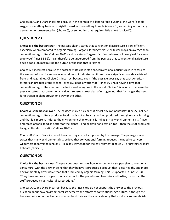Choices B, C, and D are incorrect because in the context of a land to food dynamic, the word "simple" suggests something basic or straightforward, not something humble (choice B), something without any decoration or ornamentation (choice C), or something that requires little effort (choice D).

#### **QUESTION 23**

**Choice B is the best answer**. The passage clearly states that conventional agriculture is very efficient, especially when compared to organic farming: "organic farming yields 25% fewer crops on average than conventional agriculture" (lines 40-42) and in a study "organic farming delivered a lower yield for every crop type" (lines 51-52). It can therefore be understood from the passage that conventional agriculture does a good job maximizing the output of the land that is farmed.

Choice A is incorrect because the passage states how efficient conventional agriculture is in regard to the amount of food it can produce but does not indicate that it produces a significantly wide variety of fruits and vegetables. Choice C is incorrect because even if the passage does say that each American farmer can produce crops to feed "over 155 people worldwide" (lines 16-17), it never claims that conventional agriculture can satisfactorily feed everyone in the world. Choice D is incorrect because the passage states that conventional agriculture uses a great deal of nitrogen, not that it changes the need for nitrogen in plant growth one way or the other.

#### **QUESTION 24**

**Choice A is the best answer**. The passage makes it clear that "most environmentalists" (line 27) believe conventional agriculture produces food that is not as healthy as food produced through organic farming and that it is more harmful to the environment than organic farming is: many environmentalists "have embraced organic food as better for the planet—and healthier and tastier, too—than the stuff produced by agricultural corporations" (lines 28-31).

Choices B, C, and D are incorrect because they are not supported by the passage. The passage never states that many environmentalists believe that conventional farming reduces the need to convert wilderness to farmland (choice B), is in any way good for the environment (choice C), or protects wildlife habitats (choice D).

#### **QUESTION 25**

**Choice B is the best answer**. The previous question asks how environmentalists perceive conventional agriculture, with the answer being that they believe it produces a product that is less healthy and more environmentally destructive than that produced by organic farming. This is supported in lines 28-31: "They have embraced organic food as better for the planet—and healthier and tastier, too—than the stuff produced by agricultural corporations."

Choices A, C, and D are incorrect because the lines cited do not support the answer to the previous question about how environmentalists perceive the efforts of conventional agriculture. Although the lines in choice A do touch on environmentalists' views, they indicate only that most environmentalists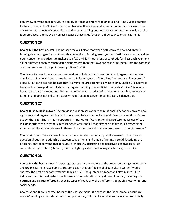don't view conventional agriculture's ability to "produce more food on less land" (line 25) as beneficial to the environment. Choice C is incorrect because these lines address environmentalists' view of the environmental effects of conventional and organic farming but not the taste or nutritional value of the food produced. Choice D is incorrect because these lines focus on a drawback to organic farming.

#### **QUESTION 26**

**Choice C is the best answer**. The passage makes it clear that while both conventional and organic farming need nitrogen for plant growth, conventional farming uses synthetic fertilizers and organic does not: "Conventional agriculture makes use of 171 million metric tons of synthetic fertilizer each year, and all that nitrogen enables much faster plant growth than the slower release of nitrogen from the compost or cover crops used in organic farming" (lines 61-65).

Choice A is incorrect because the passage does not state that conventional and organic farming are equally sustainable and does state that organic farming needs "more land" to produce "fewer crops" (lines 42-43) but does not indicate that it always requires dramatically more land. Choice B is incorrect because the passage does not state that organic farming uses artificial chemicals. Choice D is incorrect because the passage mentions nitrogen runoff only as a product of conventional farming, not organic farming, and does not indicate that only the nitrogen in conventional fertilizers is dangerous.

#### **QUESTION 27**

**Choice D is the best answer**. The previous question asks about the relationship between conventional agriculture and organic farming, with the answer being that unlike organic farms, conventional farms use synthetic fertilizers. This is supported in lines 61-65: "Conventional agriculture makes use of 171 million metric tons of synthetic fertilizer each year, and all that nitrogen enables much faster plant growth than the slower release of nitrogen from the compost or cover crops used in organic farming."

Choices A, B, and C are incorrect because the lines cited do not support the answer to the previous question about the relationship between conventional and organic farming, instead describing the efficiency only of conventional agriculture (choice A), discussing one perceived positive aspect of conventional agriculture (choice B), and highlighting a drawback of organic farming (choice C).

#### **QUESTION 28**

**Choice B is the best answer**. The passage states that the authors of the study comparing conventional and organic farming have come to the conclusion that an "ideal global agriculture system" would "borrow the best from both systems" (lines 80-82). The quote from Jonathan Foley in lines 84-97 indicates that this ideal system would take into consideration many different factors, including the nutrition and calories offered by specific types of foods as well as different geographic, economic, and social needs.

Choices A and D are incorrect because the passage makes it clear that the "ideal global agriculture system" would give consideration to multiple factors, not that it would focus mainly on productivity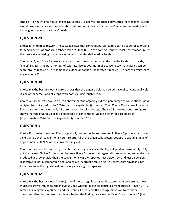(choice A) or nutritional value (choice D). Choice C is incorrect because Foley states that the ideal system would take economics into consideration but does not indicate that farmers' economic interests would be weighed against consumers' needs.

#### **QUESTION 29**

**Choice D is the best answer**. The passage states that conventional agriculture can be superior to organic farming in terms of producing "sheer calories" (line 88). In this context, "sheer" most nearly means pure; the passage is referring to the pure number of calories delivered by foods.

Choices A, B, and C are incorrect because in the context of discussing the calories foods can provide, "sheer" suggests the pure number of calories. Also, it does not make sense to say that calories can be seen through (choice A), are somehow sudden or happen unexpectedly (choice B), or are at a very sharp angle (choice C).

#### **QUESTION 30**

**Choice B is the best answer**. Figure 1 shows that the organic yield as a percentage of conventional yield is similar for cereals and all crops, with both yielding roughly 75%.

Choice A is incorrect because figure 1 shows that the organic yield as a percentage of conventional yield is higher for fruits (just under 100%) than for vegetables (just under 70%). Choice C is incorrect because figure 1 shows there were only 28 observations for oilseed crops. Choice D is incorrect because figure 1 shows that the organic yield as a percentage of conventional yield is higher for oilseed crops (approximately 90%) than for vegetables (just under 70%).

#### **QUESTION 31**

**Choice D is the best answer**. Every organically grown species represented in figure 2 produces a smaller yield than do their conventional counterparts. All of the organically grown species are within a range of approximately 60–90% of the conventional yield.

Choice A is incorrect because figure 2 shows that soybeans have the highest yield (approximately 90%), not the lowest. Choice B is incorrect because figure 2 shows that organically grown barley and maize are produced at a lower yield than the conventionally grown species (just below 70% and just below 90%, respectively), not a comparable one. Choice C is incorrect because figure 2 shows that soybeans, not tomatoes, have the highest yield of the organically grown species.

#### **QUESTION 32**

**Choice B is the best answer**. The majority of the passage focuses on the experiment concerning "how much the crowd influences the individual, and whether it can be controlled from outside" (lines 42-44). After explaining the experiment and the results it produced, the passage moves on to consider questions raised by the results, such as whether the findings are site specific or "true in general" (lines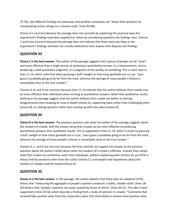75-76), why different findings are observed, and whether companies can "boost their products by manipulating online ratings on a massive scale" (lines 85-86).

Choice A is incorrect because the passage does not conclude by explaining the practical ways the experiment's findings have been applied but rather by considering questions the findings raise. Choices C and D are incorrect because the passage does not indicate that there were any flaws in the experiment's findings and does not include statements from anyone who disputes the findings.

#### **QUESTION 33**

**Choice C is the best answer**. The author of the passage suggests that a group of people can be "wiser" and more effective than a single person at assessing a quantitative answer, or a measurement, versus producing a valid qualitative judgment, or a judgment of the quality of something. This is most clear in lines 11-14, which state that when guessing a bull's weight or how many gumballs are in a jar, "your guess is probably going to be far from the mark, whereas the average of many people's choices is remarkably close to the true number."

Choices A, B, and D are incorrect because lines 11-14 indicate that the author believes that crowds may be more effective than individuals when arriving at quantitative answers rather than qualitative results. Nothing in the passage suggests that the author believes that crowds are better at starting disagreements than studying an issue in depth (choice A), supporting ideas rather than challenging them (choice B), or ranking opinions rather than coming up with new ideas (choice D).

#### **QUESTION 34**

**Choice B is the best answer**. The previous question asks what the author of the passage suggests about the wisdom of crowds, with the answer being that crowds can be more effective at producing quantitative answers than qualitative results. This is supported in lines 11-14: when it comes to guessing a bull's weight or how many gumballs are in a jar, "your guess is probably going to be far from the mark, whereas the average of many people's choices is remarkably close to the true number."

Choices A, C, and D are incorrect because the lines cited do not support the answer to the previous question about the author's belief about when the wisdom of a crowd is effective. Instead, they simply state that crowds are sometimes wiser than individuals, without explaining when (choice A), put forth a theory held by someone other than the author (choice C), and explain how hypotheses about the wisdom of crowds could be tested (choice D).

#### **QUESTION 35**

**Choice A is the best answer**. In the passage, the author explains that those who are skeptical of the theory that "measuring the aggregate of people's opinions produces a stable, reliable value" (lines 18- 20) believe that "people's opinions are easily swayed by those of others" (lines 20-21). This idea is best supported in lines 55-58, which describe a finding from a study of opinions in crowds: "Comments that received fake positive votes from the researchers were 32% more likely to receive more positive votes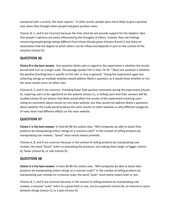compared with a control, the team reports." In other words, people were more likely to give a positive vote when they thought other people had given positive votes.

Choices B, C, and D are incorrect because the lines cited do not provide support for the skeptics' idea that people's opinions are easily influenced by the thoughts of others. Instead, they cite findings concerning people giving ratings *different* from those already given (choices B and C) and share an observation that the degree to which others can be influenced depends in part on the context of the situation (choice D).

#### **QUESTION 36**

**Choice B is the best answer**. One question Watts asks in regard to the experiment is whether the results would hold true on a larger scale. The passage quotes him in lines 74-76: "'[But] one question is whether the positive [herding] bias is specific to this site' or true in general." Doing the experiment again but collecting ratings on multiple websites would address Watts's question, as it would show whether or not the same results occur on other sites.

Choices A, C, and D are incorrect. Providing fewer fake positive comments during the experiment (choice A), requiring users to be registered on the website (choice C), or telling users that their answers will be studied (choice D) are actions that likely would affect the results of the experiment involving users voting on comments about stories on one news website, but they would not address Watts's questions about whether the study would produce the same results on *other* websites or why different categories of news items had different effects on the news website.

#### **QUESTION 37**

**Choice C is the best answer**. In lines 85-86 the author asks, "Will companies be able to boost their products by manipulating online ratings on a massive scale?" In the context of selling products by manipulating user reviews, "boost" most nearly means promote.

Choices A, B, and D are incorrect because in the context of selling products by manipulating user reviews, the word "boost" refers to promoting the products, not making them larger or bigger (choice A), faster (choice B), or safe (choice D).

#### **QUESTION 38**

**Choice A is the best answer**. In lines 85-86 the author asks, "Will companies be able to boost their products by manipulating online ratings on a massive scale?" In the context of selling products by manipulating user reviews on a massive scale, the word "scale" most nearly means level or size.

Choices B, C, and D are incorrect because in the context of selling products by manipulating user reviews, a massive "scale" refers to a great level or size, not to a payment (choice B), an interval or space between things (choice C), or a plan (choice D).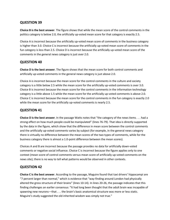#### **QUESTION 39**

**Choice B is the best answer**. The figure shows that while the mean score of the control comments in the politics category is below 2.0, the artificially up-voted mean score for that category is exactly 2.5.

Choice A is incorrect because the artificially up-voted mean score of comments in the business category is higher than 3.0. Choice C is incorrect because the artificially up-voted mean score of comments in the fun category is less than 2.5. Choice D is incorrect because the artificially up-voted mean score of the comments in the general news category is just over 2.0.

#### **QUESTION 40**

**Choice D is the best answer**. The figure shows that the mean score for both control comments and artificially up-voted comments in the general news category is just above 2.0.

Choice A is incorrect because the mean score for the control comments in the culture and society category is a little below 2.5 while the mean score for the artificially up-voted comments is over 3.0. Choice B is incorrect because the mean score for the control comments in the information technology category is a little above 1.5 while the mean score for the artificially up-voted comments is above 2.0. Choice C is incorrect because the mean score for the control comments in the fun category is exactly 2.0 while the mean score for the artificially up-voted comments is nearly 2.5.

#### **QUESTION 41**

**Choice D is the best answer**. In the passage Watts notes that "the category of the news items . . . had a strong effect on how much people could be manipulated" (lines 76-79). That idea is directly supported by the data in the figure, which show that the difference in mean score between the control comments and the artificially up-voted comments varies by subject (for example, in the general news category there is virtually no difference between the mean scores of the two types of comments, while for the business category there is almost a 1.0-point difference between the mean scores).

Choices A and B are incorrect because the passage provides no data for artificially down-voted comments or negative social influence. Choice C is incorrect because the figure applies only to one context (mean score of control comments versus mean score of artificially up-voted comments on the news site); there is no way to tell what patterns would be observed in other contexts.

#### **QUESTION 42**

**Choice C is the best answer**. According to the passage, Maguire found that taxi drivers' hippocampi are "7 percent larger than normal," which is evidence that "way-finding around London had physically altered the gross structure of their brains" (lines 10-14). In lines 20-26, the passage indicates that this finding challenges an earlier consensus: "It had long been thought that the adult brain was incapable of spawning new neurons—that . . . the brain's basic anatomical structure was more or less static. Maguire's study suggested the old inherited wisdom was simply not true."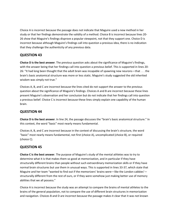Choice A is incorrect because the passage does not indicate that Maguire used a new method in her study or that her findings demonstrate the validity of a method. Choice B is incorrect because lines 20- 26 show that Maguire's findings disprove a popular viewpoint, not that they support one. Choice D is incorrect because although Maguire's findings call into question a previous idea, there is no indication that they challenge the authenticity of any previous data.

#### **QUESTION 43**

**Choice D is the best answer**. The previous question asks about the significance of Maguire's findings, with the answer being that her findings call into question a previous belief. This is supported in lines 20- 26: "It had long been thought that the adult brain was incapable of spawning new neurons—that . . . the brain's basic anatomical structure was more or less static. Maguire's study suggested the old inherited wisdom was simply not true."

Choices A, B, and C are incorrect because the lines cited do not support the answer to the previous question about the significance of Maguire's findings. Choices A and B are incorrect because these lines present Maguire's observation and her conclusion but do not indicate that her findings call into question a previous belief. Choice C is incorrect because these lines simply explain one capability of the human brain.

#### **QUESTION 44**

**Choice D is the best answer**. In line 24, the passage discusses the "brain's basic anatomical structure." In this context, the word "basic" most nearly means fundamental.

Choices A, B, and C are incorrect because in the context of discussing the brain's structure, the word "basic" most nearly means fundamental, not first (choice A), uncomplicated (choice B), or required (choice C).

#### **QUESTION 45**

**Choice C is the best answer**. The purpose of Maguire's study of the mental athletes was to try to determine what it is that makes them so good at memorization, and in particular if they have structurally different brains than people without such extraordinary memorization skills or if they have normal brain structures but use them in unusual ways. This is supported in lines 33-37, which state that Maguire and her team "wanted to find out if the memorizers' brains were—like the London cabbies' structurally different from the rest of ours, or if they were somehow just making better use of memory abilities that we all possess."

Choice A is incorrect because the study was an attempt to compare the brains of mental athletes to the brains of the general population, not to compare the use of different brain structures in memorization and navigation. Choices B and D are incorrect because the passage makes it clear that it was not known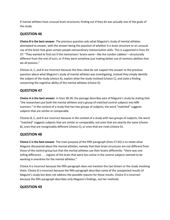if mental athletes have unusual brain structures; finding out if they do was actually one of the goals of the study.

#### **QUESTION 46**

**Choice B is the best answer**. The previous question asks what Maguire's study of mental athletes attempted to answer, with the answer being the question of whether it is brain structure or an unusual use of the brain that gives certain people extraordinary memorization skills. This is supported in lines 33- 37: "They wanted to find out if the memorizers' brains were—like the London cabbies'—structurally different from the rest of ours, or if they were somehow just making better use of memory abilities that we all possess."

Choices A, C, and D are incorrect because the lines cited do not support the answer to the previous question about what Maguire's study of mental athletes was investigating. Instead they simply identify the subject of the study (choice A), explain what the study involved (choice C), and state a finding concerning the cognitive ability of the mental athletes (choice D).

#### **QUESTION 47**

**Choice A is the best answer**. In lines 38-39, the passage describes part of Maguire's study by stating that "the researchers put both the mental athletes and a group of matched control subjects into MRI scanners." In the context of a study that has two groups of subjects, the word "matched" suggests subjects that are similar or comparable.

Choices B, C, and D are incorrect because in the context of a study with two groups of subjects, the word "matched" suggests subjects that are similar or comparable, not ones that are exactly the same (choice B), ones that are recognizably different (choice C), or ones that are rivals (choice D).

#### **QUESTION 48**

**Choice C is the best answer**. The main purpose of the fifth paragraph (lines 57-65) is to relate what Maguire discovered about the mental athletes, namely that their brain structures are not different from those of the control group but that the mental athletes use their brains differently: "there was one telling difference . . . regions of the brain that were less active in the control subjects seemed to be working in overdrive for the mental athletes."

Choice A is incorrect because the fifth paragraph does not mention the taxi drivers or the study involving them. Choice B is incorrect because the fifth paragraph describes some of the unexpected results of Maguire's study but does not address the possible reasons for those results. Choice D is incorrect because the fifth paragraph describes only Maguire's findings, not her methods.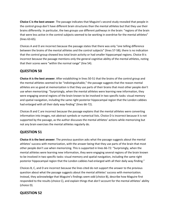**Choice C is the best answer**. The passage indicates that Maguire's second study revealed that people in the control group don't have different brain structures than the mental athletes but that they use their brains differently. In particular, the two groups use different pathways in the brain: "regions of the brain that were less active in the control subjects seemed to be working in overdrive for the mental athletes" (lines 63-65).

Choices A and D are incorrect because the passage states that there was only "one telling difference between the brains of the mental athletes and the control subjects" (lines 57-58); there is no indication that the control group showed less total brain activity or had smaller hippocampal regions. Choice B is incorrect because the passage mentions only the general cognitive ability of the mental athletes, noting that their scores were "within the normal range" (line 54).

#### **QUESTION 50**

**Choice A is the best answer**. After establishing in lines 50-51 that the brains of the control group and the mental athletes seemed to be "indistinguishable," the passage suggests that the reason mental athletes are so good at memorization is that they use parts of their brains that most other people don't use when memorizing: "Surprisingly, when the mental athletes were learning new information, they were engaging several regions of the brain known to be involved in two specific tasks: visual memory and spatial navigation, including the same right posterior hippocampal region that the London cabbies had enlarged with all their daily way-finding" (lines 66-72).

Choices B and C are incorrect because the passage explains that the mental athletes were converting information into images, not abstract symbols or numerical lists. Choice D is incorrect because it is not supported by the passage, as the author discusses the mental athletes' actions while memorizing but not any brain exercises the mental athletes regularly do.

#### **QUESTION 51**

**Choice A is the best answer**. The previous question asks what the passage suggests about the mental athletes' success with memorization, with the answer being that they use parts of the brain that most other people don't use when memorizing. This is supported in lines 66-72: "Surprisingly, when the mental athletes were learning new information, they were engaging several regions of the brain known to be involved in two specific tasks: visual memory and spatial navigation, including the same right posterior hippocampal region that the London cabbies had enlarged with all their daily way-finding."

Choices B, C, and D are incorrect because the lines cited do not support the answer to the previous question about what the passage suggests about the mental athletes' success with memorization. Instead, they acknowledge that Maguire's findings seem odd (choice B), describe how Maguire first responded to the results (choice C), and explain things that *don't* account for the mental athletes' ability (choice D).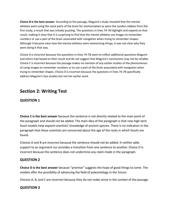**Choice B is the best answer**. According to the passage, Maguire's study revealed that the mental athletes were using the same parts of the brain for memorization as were the London cabbies from the first study, a result that was initially puzzling. The questions in lines 74-78 highlight and expand on that result, making it clear that it is surprising to find that the mental athletes use images to remember numbers or use a part of the brain associated with navigation when trying to remember shapes. Although it became clear *how* the mental athletes were memorizing things, it was not clear why they were doing it that way.

Choice A is incorrect because the questions in lines 74-78 seem to reflect additional questions Maguire and others had based on their result and do not suggest that Maguire's conclusions may not be reliable. Choice C is incorrect because the passage makes no mention of any earlier studies of the phenomenon of using images to remember numbers or to use a part of the brain associated with navigation when trying to remember shapes. Choice D is incorrect because the questions in lines 74-78 specifically address Maguire's two studies but not her earlier work.

## **Section 2: Writing Test**

#### **QUESTION 1**

**Choice C is the best answer** because the sentence is not directly related to the main point of the paragraph and should not be added. The main idea of the paragraph is that new high-tech fossil models help expand scientists' knowledge of ancient species. There is no indication in the paragraph that these scientists are concerned about the age of the rocks in which fossils are found.

Choices A and B are incorrect because the sentence should not be added. It neither adds support to an argument nor provides a transition from one sentence to another. Choice D is incorrect because the sentence does not undermine any claim made in the paragraph.

#### **QUESTION 2**

**Choice D is the best answer** because "promise" suggests the hope of good things to come. The models offer the possibility of advancing the field of paleontology in the future.

Choices A, B, and C are incorrect because they do not make sense in the context of the passage.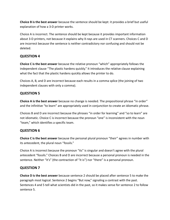**Choice B is the best answer** because the sentence should be kept: it provides a brief but useful explanation of how a 3-D printer works.

Choice A is incorrect. The sentence should be kept because it provides important information about 3-D printers, not because it explains why X-rays are used in CT scanners. Choices C and D are incorrect because the sentence is neither contradictory nor confusing and should not be deleted.

#### **QUESTION 4**

**Choice C is the best answer** because the relative pronoun "which" appropriately follows the independent clause "The plastic hardens quickly." It introduces the relative clause explaining what the fact that the plastic hardens quickly allows the printer to do.

Choices A, B, and D are incorrect because each results in a comma splice (the joining of two independent clauses with only a comma).

#### **QUESTION 5**

**Choice A is the best answer** because no change is needed. The prepositional phrase "in order" and the infinitive "to learn" are appropriately used in conjunction to create an idiomatic phrase.

Choices B and D are incorrect because the phrases "in order for learning" and "so to learn" are not idiomatic. Choice C is incorrect because the pronoun "one" is inconsistent with the noun "team," which identifies a specific team.

#### **QUESTION 6**

**Choice C is the best answer** because the personal plural pronoun "their" agrees in number with its antecedent, the plural noun "fossils."

Choice A is incorrect because the pronoun "its" is singular and doesn't agree with the plural antecedent "fossils." Choices B and D are incorrect because a personal pronoun is needed in the sentence. Neither "it's" (the contraction of "it is") nor "there" is a personal pronoun.

#### **QUESTION 7**

**Choice D is the best answer** because sentence 2 should be placed after sentence 5 to make the paragraph most logical. Sentence 2 begins "But now," signaling a contrast with the past. Sentences 4 and 5 tell what scientists did in the past, so it makes sense for sentence 2 to follow sentence 5.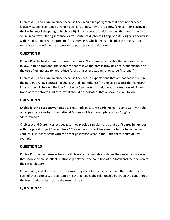Choices A, B, and C are incorrect because they result in a paragraph that does not proceed logically. Keeping sentence 2, which begins "But now," where it is now (choice A) or placing it at the beginning of the paragraph (choice B) signals a contrast with the past that doesn't make sense in context. Placing sentence 2 after sentence 4 (choice C) appropriately signals a contrast with the past but creates problems for sentence 5, which needs to be placed directly after sentence 4 to continue the discussion of past research limitations.

#### **QUESTION 8**

**Choice D is the best answer** because the phrase "for example" indicates that an example will follow. In this paragraph, the sentence that follows the phrase provides a relevant example of the use of technology to "reproduce fossils that scientists cannot observe firsthand."

Choices A, B, and C are incorrect because they set up expectations that are not carried out in the paragraph. "By contrast" in choice A and "nonetheless" in choice B suggest that contrary information will follow. "Besides" in choice C suggests that additional information will follow. None of these choices indicates what should be indicated: that an example will follow.

#### **QUESTION 9**

**Choice B is the best answer** because the simple past tense verb "relied" is consistent with the other past tense verbs in the National Museum of Brazil example, such as "dug" and "determined."

Choices A and D are incorrect because they provide singular verbs that don't agree in number with the plural subject "researchers." Choice C is incorrect because the future tense helping verb "will" is inconsistent with the other past tense verbs in the National Museum of Brazil example.

#### **QUESTION 10**

**Choice C is the best answer** because it clearly and concisely combines the sentences in a way that shows the cause-effect relationship between the condition of the fossil and the decision by the research team.

Choices A, B, and D are incorrect because they do not effectively combine the sentences. In each of these choices, the sentence mischaracterizes the relationship between the condition of the fossil and the decision by the research team.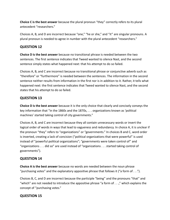**Choice C is the best answer** because the plural pronoun "they" correctly refers to its plural antecedent "researchers."

Choices A, B, and D are incorrect because "one," "he or she," and "it" are singular pronouns. A plural pronoun is needed to agree in number with the plural antecedent "researchers."

#### **QUESTION 12**

**Choice D is the best answer** because no transitional phrase is needed between the two sentences. The first sentence indicates that Tweed wanted to silence Nast, and the second sentence simply states what happened next: that his attempt to do so failed.

Choices A, B, and C are incorrect because no transitional phrase or conjunctive adverb such as "therefore" or "furthermore" is needed between the sentences. The information in the second sentence neither results from information in the first nor is in addition to it. Rather, it tells what happened next: the first sentence indicates that Tweed wanted to silence Nast, and the second states that his attempt to do so failed.

#### **QUESTION 13**

**Choice D is the best answer** because it is the only choice that clearly and concisely conveys the key information that "in the 1860s and the 1870s, . . . organizations known as 'political machines' started taking control of city governments."

Choices A, B, and C are incorrect because they all contain unnecessary words or invert the logical order of words in ways that lead to vagueness and redundancy. In choice A, it is unclear if the pronoun "they" refers to "organizations" or "governments." In choices B and C, word order is inverted, creating a lack of concision ("political organizations that were powerful" is used instead of "powerful political organizations"; "governments were taken control of" and "organizations . . . did so" are used instead of "organizations . . . started taking control of governments").

#### **QUESTION 14**

**Choice A is the best answer** because no words are needed between the noun phrase "purchasing votes" and the explanatory appositive phrase that follows it ("a form of  $\dots$ ").

Choices B, C, and D are incorrect because the participle "being" and the pronouns "that" and "which" are not needed to introduce the appositive phrase "a form of  $\dots$ "," which explains the concept of "purchasing votes."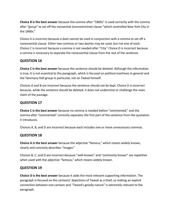**Choice B is the best answer** because the comma after "1860s" is used correctly with the comma after "group" to set off the inessential (nonrestrictive) clause "which controlled New York City in the 1860s."

Choice A is incorrect because a dash cannot be used in conjunction with a comma to set off a nonessential clause. Either two commas or two dashes may be used, but not one of each. Choice C is incorrect because a comma is not needed after "City." Choice D is incorrect because a comma is necessary to separate the nonessential clause from the rest of the sentence.

#### **QUESTION 16**

**Choice C is the best answer** because the sentence should be deleted. Although the information is true, it is not essential to the paragraph, which is focused on political machines in general and the Tammany Hall group in particular, not on Tweed himself.

Choices A and B are incorrect because the sentence should not be kept. Choice D is incorrect because, while the sentence should be deleted, it does not undermine or challenge the main claim of the passage.

#### **QUESTION 17**

**Choice C is the best answer** because no comma is needed before "commented," and the comma after "commented" correctly separates the first part of the sentence from the quotation it introduces.

Choices A, B, and D are incorrect because each includes one or more unnecessary commas.

#### **QUESTION 18**

**Choice A is the best answer** because the adjective "famous," which means widely known, clearly and concisely describes "images."

Choices B, C, and D are incorrect because "well-known" and "commonly known" are repetitive when used with the adjective "famous," which means widely known.

#### **QUESTION 19**

**Choice D is the best answer** because it adds the most relevant supporting information. The paragraph is focused on the cartoons' depictions of Tweed as a thief, so making an explicit connection between one cartoon and "Tweed's greedy nature" is extremely relevant to the paragraph.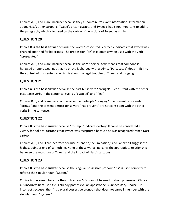Choices A, B, and C are incorrect because they all contain irrelevant information. Information about Nast's other cartoons, Tweed's prison escape, and Tweed's hat is not important to add to the paragraph, which is focused on the cartoons' depictions of Tweed as a thief.

#### **QUESTION 20**

**Choice D is the best answer** because the word "prosecuted" correctly indicates that Tweed was charged and tried for his crimes. The preposition "on" is idiomatic when used with the verb "prosecuted."

Choices A, B, and C are incorrect because the word "persecuted" means that someone is harassed or oppressed, not that he or she is charged with a crime. "Persecuted" doesn't fit into the context of this sentence, which is about the legal troubles of Tweed and his gang.

#### **QUESTION 21**

**Choice A is the best answer** because the past tense verb "brought" is consistent with the other past tense verbs in the sentence, such as "escaped" and "fled."

Choices B, C, and D are incorrect because the participle "bringing," the present tense verb "brings," and the present perfect tense verb "has brought" are not consistent with the other verbs in the sentence.

#### **QUESTION 22**

**Choice B is the best answer** because "triumph" indicates victory. It could be considered a victory for political cartoons that Tweed was recaptured because he was recognized from a Nast cartoon.

Choices A, C, and D are incorrect because "pinnacle," "culmination," and "apex" all suggest the highest point or end of something. None of these words indicates the appropriate relationship between the recapture of Tweed and the impact of Nast's cartoons.

#### **QUESTION 23**

**Choice B is the best answer** because the singular possessive pronoun "its" is used correctly to refer to the singular noun "system."

Choice A is incorrect because the contraction "it's" cannot be used to show possession. Choice C is incorrect because "its" is already possessive; an apostrophe is unnecessary. Choice D is incorrect because "their" is a plural possessive pronoun that does not agree in number with the singular noun "system."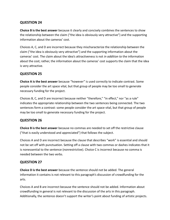#### **QUESTION 24**

**Choice B is the best answer** because it clearly and concisely combines the sentences to show the relationship between the claim ("the idea is obviously very attractive") and the supporting information about the cameras' cost.

Choices A, C, and D are incorrect because they mischaracterize the relationship between the claim ("the idea is obviously very attractive") and the supporting information about the cameras' cost. The claim about the idea's attractiveness is not *in addition to* the information about the cost; rather, the information about the cameras' cost supports the claim that the idea is very attractive.

#### **QUESTION 25**

**Choice A is the best answer** because "however" is used correctly to indicate contrast. Some people consider the art space vital, but that group of people may be too small to generate necessary funding for the project.

Choices B, C, and D are incorrect because neither "therefore," "in effect," nor "as a rule" indicates the appropriate relationship between the two sentences being connected. The two sentences form a contrast: some people consider the art space vital, but that group of people may be too small to generate necessary funding for the project.

#### **QUESTION 26**

**Choice B is the best answer** because no commas are needed to set off the restrictive clause ("that is easily understood and appreciated") that follows the subject.

Choices A and D are incorrect because the clause that describes "work" is essential and should not be set off with punctuation. Setting off a clause with two commas or dashes indicates that it is nonessential to the sentence (nonrestrictive). Choice C is incorrect because no comma is needed between the two verbs.

#### **QUESTION 27**

**Choice D is the best answer** because the sentence should not be added. The general information it contains is not relevant to this paragraph's discussion of crowdfunding for the arts.

Choices A and B are incorrect because the sentence should not be added. Information about crowdfunding in general is not relevant to the discussion of the arts in this paragraph. Additionally, the sentence doesn't support the writer's point about funding of artistic projects.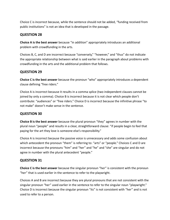Choice C is incorrect because, while the sentence should not be added, "funding received from public institutions" is not an idea that is developed in the passage.

#### **QUESTION 28**

**Choice A is the best answer** because "in addition" appropriately introduces an additional problem with crowdfunding in the arts.

Choices B, C, and D are incorrect because "conversely," "however," and "thus" do not indicate the appropriate relationship between what is said earlier in the paragraph about problems with crowdfunding in the arts and the additional problem that follows.

#### **QUESTION 29**

**Choice C is the best answer** because the pronoun "who" appropriately introduces a dependent clause defining "free riders."

Choice A is incorrect because it results in a comma splice (two independent clauses cannot be joined by only a comma). Choice B is incorrect because it is not clear which people don't contribute: "audiences" or "free riders." Choice D is incorrect because the infinitive phrase "to not make" doesn't make sense in the sentence.

#### **QUESTION 30**

**Choice B is the best answer** because the plural pronoun "they" agrees in number with the plural noun "people" and results in a clear, straightforward clause: "if people begin to feel that paying for the art they love is someone else's responsibility."

Choice A is incorrect because the passive voice is unnecessary and adds some confusion about which antecedent the pronoun "them" is referring to: "arts" or "people." Choices C and D are incorrect because the pronouns "him" and "her" and "he" and "she" are singular and do not agree in number with the plural antecedent "people."

#### **QUESTION 31**

**Choice C is the best answer** because the singular pronoun "her" is consistent with the pronoun "her" that is used earlier in the sentence to refer to the playwright.

Choices A and B are incorrect because they are plural pronouns that are not consistent with the singular pronoun "her" used earlier in the sentence to refer to the singular noun "playwright." Choice D is incorrect because the singular pronoun "its" is not consistent with "her" and is not used to refer to a person.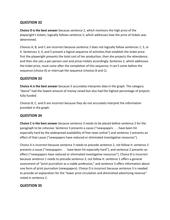#### **QUESTION 32**

**Choice D is the best answer** because sentence 2, which mentions the high price of the playwright's tickets, logically follows sentence 5, which addresses how the price of tickets was determined.

Choices A, B, and C are incorrect because sentence 2 does not logically follow sentences 1, 3, or 4. Sentences 3, 4, and 5 present a logical sequence of activities that establish the ticket price: first the playwright presents the total cost of her production, then she projects the attendance, and then she sets a per-person cost and prices tickets accordingly. Sentence 2, which addresses the ticket price, must come after the completion of this sequence; it can't come before the sequence (choice A) or interrupt the sequence (choices B and C).

#### **QUESTION 33**

**Choice A is the best answer** because it accurately interprets data in the graph. The category "dance" had the lowest amount of money raised but also had the highest percentage of projects fully funded.

Choices B, C, and D are incorrect because they do not accurately interpret the information provided in the graph.

#### **QUESTION 34**

**Choice C is the best answer** because sentence 3 needs to be placed before sentence 2 for the paragraph to be cohesive. Sentence 3 presents a cause ("newspapers . . . have been hit especially hard by the widespread availability of free news online") and sentence 2 presents an effect of that cause ("newspapers have reduced or eliminated investigative resources").

Choice A is incorrect because sentence 3 needs to precede sentence 2, not follow it: sentence 3 presents a cause ("newspapers . . . have been hit especially hard"), and sentence 2 presents an effect ("newspapers have reduced or eliminated investigative resources"). Choice B is incorrect because sentence 1 needs to precede sentence 3, not follow it: sentence 1 offers a general assessment of "print journalism as a viable profession," and sentence 3 offers information about one form of print journalism (newspapers). Choice D is incorrect because sentence 3 is needed to provide an explanation for the "lower print circulation and diminished advertising revenue" noted in sentence 2.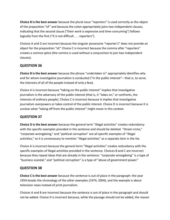**Choice B is the best answer** because the plural noun "reporters" is used correctly as the object of the preposition "of" and because the colon appropriately joins two independent clauses, indicating that the second clause ("their work is expensive and time-consuming") follows logically from the first ("It is not difficult . . . reporters").

Choices A and D are incorrect because the singular possessive "reporter's" does not provide an object for the preposition "of." Choice C is incorrect because the comma after "reporters" creates a comma splice (the comma is used without a conjunction to join two independent clauses).

#### **QUESTION 36**

**Choice B is the best answer** because the phrase "undertaken in" appropriately identifies why and for whom investigative journalism is conducted ("in the public interest"—that is, to serve the interests of all of the people instead of only a few).

Choice A is incorrect because "taking on the public interest" implies that investigative journalism is the adversary of the public interest (that is, it "takes on," or confronts, the interests of ordinary people). Choice C is incorrect because it implies that investigative journalism overpowers or takes control of the public interest. Choice D is incorrect because it is unclear what "taking off from the public interest" might mean in this context.

#### **QUESTION 37**

**Choice D is the best answer** because the general term "illegal activities" creates redundancy with the specific examples provided in the sentence and should be deleted. "Street crime," "corporate wrongdoing," and "political corruption" are all specific examples of "illegal activities," so it is unnecessary to mention "illegal activities" as a separate item in the list.

Choice A is incorrect because the general term "illegal activities" creates redundancy with the specific examples of illegal activities provided in the sentence. Choices B and C are incorrect because they repeat ideas that are already in the sentence: "corporate wrongdoing" is a type of "business scandal," and "political corruption" is a type of "abuse of government power."

#### **QUESTION 38**

**Choice C is the best answer** because the sentence is out of place in the paragraph: the year 1954 breaks the chronology of the other examples (1974, 2004), and the example is about television news instead of print journalism.

Choices A and B are incorrect because the sentence is out of place in the paragraph and should not be added. Choice D is incorrect because, while the passage should not be added, the reason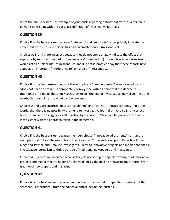is not the one specified. The example of journalists reporting a story that exposes a person in power is consistent with the passage's definition of investigative journalism.

#### **QUESTION 39**

**Choice D is the best answer** because "deterrent" and "rebuke to" appropriately indicate the effect that exposure by reporters has had on "malfeasance" (misconduct).

Choices A, B, and C are incorrect because they do not appropriately indicate the effect that exposure by reporters has had on "malfeasance" (misconduct). It is unclear how journalism would act as a "blockade" to misconduct, and it is not idiomatic to say that these reports have acted as an important "interference to" or "drag on" misconduct.

#### **QUESTION 40**

**Choice B is the best answer** because the verb phrase "need not entail"—an inverted form of "does not need to entail"—appropriately conveys the writer's point that the decline in traditional print media does not *necessarily* mean "the end of investigative journalism." In other words, this possibility is real but can be prevented.

Choices A and C are incorrect because "could not" and "will not" indicate certainty—in other words, that there is no possibility of an end to investigative journalism. Choice D is incorrect because "must not" suggests a call to action by the writer ("this *must* be prevented") that is inconsistent with the approach taken in the paragraph.

#### **QUESTION 41**

**Choice D is the best answer** because the noun phrase "innovative adjustments" sets up the examples that follow. The examples of the Organized Crime and Corruption Reporting Project, blogs and Twitter, and Help Me Investigate all refer to innovative projects and media that enable investigative journalism to thrive outside of traditional newspapers and magazines.

Choices A, B, and C are incorrect because they do not set up the specific examples of innovative projects and media that are helping fill the void left by the decline of investigative journalism in traditional newspapers and magazines.

#### **QUESTION 42**

**Choice A is the best answer** because no punctuation is needed to separate the subject of the sentence, "enterprises," from the adjective phrase beginning "such as."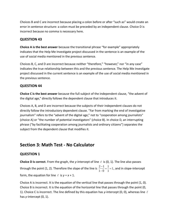Choices B and C are incorrect because placing a colon before or after "such as" would create an error in sentence structure: a colon must be preceded by an independent clause. Choice D is incorrect because no comma is necessary here.

#### **QUESTION 43**

**Choice A is the best answer** because the transitional phrase "for example" appropriately indicates that the Help Me Investigate project discussed in the sentence is an example of the use of social media mentioned in the previous sentence.

Choices B, C, and D are incorrect because neither "therefore," "however," nor "in any case" indicates the true relationship between this and the previous sentence. The Help Me Investigate project discussed in the current sentence is an example of the use of social media mentioned in the previous sentence.

#### **QUESTION 44**

**Choice C is the best answer** because the full subject of the independent clause, "the advent of the digital age," directly follows the dependent clause that introduces it.

Choices A, B, and D are incorrect because the subjects of their independent clauses do not directly follow the introductory dependent clause. "Far from marking the end of investigative journalism" refers to the "advent of the digital age," not to "cooperation among journalists" (choice A) or "the number of potential investigators" (choice B). In choice D, an interrupting phrase ("by facilitating cooperation among journalists and ordinary citizens") separates the subject from the dependent clause that modifies it.

## **Section 3: Math Test - No Calculator**

#### **QUESTION 1**

**Choice D is correct**. From the graph, the *y*-intercept of line  $\ell$  is (0, 1). The line also passes through the point (1, 2). Therefore the slope of the line is  $\frac{2-1}{1-2} = \frac{1}{1} = 1$  $1 - 0$  1  $\frac{-1}{2} = \frac{1}{4} =$  $\frac{1}{-0} = \frac{1}{1} = 1$ , and in slope-intercept form, the equation for line  $\ell$  is  $y = x + 1$ .

Choice A is incorrect. It is the equation of the vertical line that passes through the point (1, 0). Choice B is incorrect. It is the equation of the horizontal line that passes through the point (0, 1). Choice C is incorrect. The line defined by this equation has *y*-intercept (0, 0), whereas line  $\ell$ has *y*-intercept (0, 1).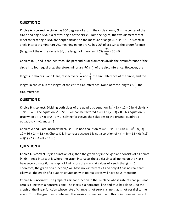#### **QUESTION 2**

**Choice A is correct**. A circle has 360 degrees of arc. In the circle shown, *O* is the center of the circle and angle *AOC* is a central angle of the circle. From the figure, the two diameters that meet to form angle *AOC* are perpendicular, so the measure of angle *AOC* is 90. This central angle intercepts minor arc *AC*, meaning minor arc *AC* has 90° of arc. Since the circumference (length) of the entire circle is 36, the length of minor arc *AC* is  $\frac{90}{250} \times 36 = 9$  $\frac{36}{360}$  × 36 = 9.

Choices B, C, and D are incorrect. The perpendicular diameters divide the circumference of the circle into four equal arcs; therefore, minor arc AC is  $\frac{1}{4}$  $\frac{1}{4}$  of the circumference. However, the lengths in choices B and C are, respectively,  $\frac{1}{2}$  $\frac{1}{3}$  and  $\frac{1}{2}$  $\frac{1}{2}$  the circumference of the circle, and the length in choice D is the length of the entire circumference. None of these lengths is  $\frac{1}{4}$  $\frac{1}{4}$  the circumference.

#### **QUESTION 3**

**Choice B is correct**. Dividing both sides of the quadratic equation  $4x^2 - 8x - 12 = 0$  by 4 yields  $x^2$ − 2*x* − 3 = 0. The equation  $x^2$  − 2*x* − 3 = 0 can be factored as  $(x + 1)(x - 3)$  = 0. This equation is true when *x* + 1 = 0 or *x* − 3 = 0. Solving for *x* gives the solutions to the original quadratic equation: *x* = −1 and *x* = 3.

Choices A and C are incorrect because -3 is not a solution of  $4x^2 - 8x - 12 = 0$ :  $4(-3)^2 - 8(-3) - 12 = 0$ 12 = 36 + 24 − 12 ≠ 0. Choice D is incorrect because 1 is not a solution of  $4x^2 - 8x - 12 = 0$ :  $4(1)^2$  $-8(1) - 12 = 4 - 8 - 12 \neq 0$ .

#### **QUESTION 4**

**Choice C is correct**. If *f* is a function of *x*, then the graph of *f* in the *xy*-plane consists of all points (*x*, *f*(*x*)). An *x*-intercept is where the graph intersects the *x*-axis; since all points on the *x*-axis have *y*-coordinate 0, the graph of *f* will cross the *x*-axis at values of *x* such that *f*(*x*) = 0. Therefore, the graph of a function *f* will have no *x*-intercepts if and only if *f* has no real zeros. Likewise, the graph of a quadratic function with no real zeros will have no *x*-intercepts.

Choice A is incorrect. The graph of a linear function in the *xy*-plane whose rate of change is not zero is a line with a nonzero slope. The *x*-axis is a horizontal line and thus has slope 0, so the graph of the linear function whose rate of change is not zero is a line that is not parallel to the *x*-axis. Thus, the graph must intersect the *x*-axis at some point, and this point is an *x*-intercept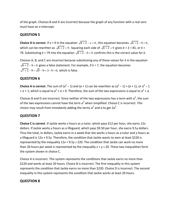of the graph. Choices B and D are incorrect because the graph of any function with a real zero must have an *x*-intercept.

#### **QUESTION 5**

**Choice D is correct**. If  $x = 9$  in the equation  $\sqrt{k+2} - x = 0$ , this equation becomes  $\sqrt{k+2}-9=0$ , which can be rewritten as  $\sqrt{k+2} = 9$ . Squaring each side of  $\sqrt{k+2} = 9$  gives  $k + 2 = 81$ , or  $k = 1$ 79. Substituting  $k$  = 79 into the equation  $\sqrt{k+2} - 9 = 0$  confirms this is the correct value for  $k$ .

Choices A, B, and C are incorrect because substituting any of these values for *k* in the equation  $\sqrt{k+2} - 9 = 0$  gives a false statement. For example, if  $k = 7$ , the equation becomes  $\sqrt{7+2} - 9 = \sqrt{9} - 9 = 3 - 9 = 0$ , which is false.

#### **QUESTION 6**

**Choice A is correct**. The sum of  $(a^2 - 1)$  and  $(a + 1)$  can be rewritten as  $(a^2 - 1) + (a + 1)$ , or  $a^2 - 1$ +  $a$  + 1, which is equal to  $a^2$  +  $a$  + 0. Therefore, the sum of the two expressions is equal to  $a^2$  +  $a$ .

Choices B and D are incorrect. Since neither of the two expressions has a term with  $a^3$ , the sum of the two expressions cannot have the term  $a^3$  when simplified. Choice C is incorrect. This choice may result from mistakenly adding the terms  $a^2$  and  $a$  to get 2 $a^2$ .

#### **QUESTION 7**

**Choice C is correct**. If Jackie works *x* hours as a tutor, which pays \$12 per hour, she earns 12*x* dollars. If Jackie works *y* hours as a lifeguard, which pays \$9.50 per hour, she earns 9.5*y* dollars. Thus the total, in dollars, Jackie earns in a week that she works *x* hours as a tutor and *y* hours as a lifeguard is 12*x* + 9.5*y*. Therefore, the condition that Jackie wants to earn at least \$220 is represented by the inequality  $12x + 9.5y \ge 220$ . The condition that Jackie can work no more than 20 hours per week is represented by the inequality  $x + y \le 20$ . These two inequalities form the system shown in choice C.

Choice A is incorrect. This system represents the conditions that Jackie earns no more than \$220 and works at least 20 hours. Choice B is incorrect. The first inequality in this system represents the condition that Jackie earns no more than \$220. Choice D is incorrect. The second inequality in this system represents the condition that Jackie works at least 20 hours.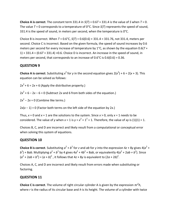**Choice A is correct**. The constant term 331.4 in  $S(T) = 0.6T + 331.4$  is the value of *S* when  $T = 0$ . The value *T* = 0 corresponds to a temperature of 0°C. Since *S*(*T*) represents the speed of sound, 331.4 is the speed of sound, in meters per second, when the temperature is  $0^{\circ}$ C.

Choice B is incorrect. When *T* = 0.6°C, *S*(*T*) = 0.6(0.6) + 331.4 = 331.76, not 331.4, meters per second. Choice C is incorrect. Based on the given formula, the speed of sound increases by 0.6 meters per second for every increase of temperature by 1°C, as shown by the equation 0.6(*T* + 1) + 331.4 = (0.6*T* + 331.4) +0.6. Choice D is incorrect. An increase in the speed of sound, in meters per second, that corresponds to an increase of  $0.6^{\circ}$ C is  $0.6(0.6) = 0.36$ .

#### **QUESTION 9**

**Choice A is correct**. Substituting  $x^2$  for y in the second equation gives  $2(x^2) + 6 = 2(x + 3)$ . This equation can be solved as follows:

 $2x^2$  + 6 = 2x + 6 (Apply the distributive property.)

 $2x^2 + 6 - 2x - 6 = 0$  (Subtract 2x and 6 from both sides of the equation.)

 $2x^2 - 2x = 0$  (Combine like terms.)

2*x*(*x* − 1) = 0 (Factor both terms on the left side of the equation by 2*x*.)

Thus, *x* = 0 and *x* = 1 are the solutions to the system. Since *x* > 0, only *x* = 1 needs to be considered. The value of *y* when  $x = 1$  is  $y = x^2 = 1^2 = 1$ . Therefore, the value of *xy* is (1)(1) = 1.

Choices B, C, and D are incorrect and likely result from a computational or conceptual error when solving this system of equations.

#### **QUESTION 10**

**Choice B is correct**. Substituting  $a^2 + b^2$  for *z* and *ab* for *y* into the expression 4*z* + 8*y* gives 4( $a^2$  +  $b^2$ ) + 8*ab*. Multiplying  $a^2 + b^2$  by 4 gives  $4a^2 + 4b^2 + 8ab$ , or equivalently  $4(a^2 + 2ab + b^2)$ . Since  $(a^{2} + 2ab + b^{2}) = (a + b)^{2}$ , it follows that 4*z* + 8*y* is equivalent to  $(2a + 2b)^{2}$ .

Choices A, C, and D are incorrect and likely result from errors made when substituting or factoring.

#### **QUESTION 11**

**Choice C is correct**. The volume of right circular cylinder A is given by the expression  $\pi r^2 h$ , where *r* is the radius of its circular base and *h* is its height. The volume of a cylinder with twice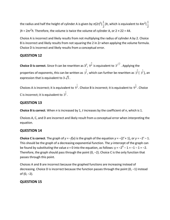the radius and half the height of cylinder A is given by  $π(2r)^2($  $\frac{1}{2}$  $\frac{1}{2}$ )*h*, which is equivalent to 4πr<sup>2</sup>( $\frac{1}{2}$ 2  $h = 2\pi r^2 h$ . Therefore, the volume is twice the volume of cylinder A, or 2 × 22 = 44.

Choice A is incorrect and likely results from not multiplying the radius of cylinder A by 2. Choice B is incorrect and likely results from not squaring the 2 in 2*r* when applying the volume formula. Choice D is incorrect and likely results from a conceptual error.

#### **QUESTION 12**

**Choice D is correct**. Since 9 can be rewritten as  $3^2$ , 3  $9^{\frac{3}{4}}$  is equivalent to  $3^{2^{(\frac{3}{4})}}$  . Applying the properties of exponents, this can be written as 3  $3<sup>2</sup>$ , which can further be rewritten as 2  $3^{2}$  ( 1  $3<sup>2</sup>$  ), an expression that is equivalent to 3  $\sqrt{3}$  .

Choices A is incorrect; it is equivalent to 1  $9<sup>3</sup>$ . Choice B is incorrect; it is equivalent to 1 4 9 . Choice C is incorrect; it is equivalent to 1  $3^2$ .

#### **QUESTION 13**

**Choice B is correct**. When *n* is increased by 1, *t* increases by the coefficient of *n*, which is 1.

Choices A, C, and D are incorrect and likely result from a conceptual error when interpreting the equation.

#### **QUESTION 14**

**Choice C is correct**. The graph of  $y = -f(x)$  is the graph of the equation  $y = -(2^x + 1)$ , or  $y = -2^x - 1$ . This should be the graph of a decreasing exponential function. The *y*-intercept of the graph can be found by substituting the value  $x = 0$  into the equation, as follows:  $y = -2^0 - 1 = -1 - 1 = -2$ . Therefore, the graph should pass through the point (0, −2). Choice C is the only function that passes through this point.

Choices A and B are incorrect because the graphed functions are increasing instead of decreasing. Choice D is incorrect because the function passes through the point (0, −1) instead of (0, −2).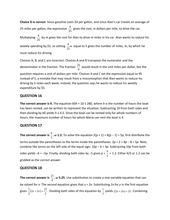**Choice D is correct**. Since gasoline costs \$4 per gallon, and since Alan's car travels an average of 25 miles per gallon, the expression  $\frac{4}{2}$  $\frac{1}{25}$  gives the cost, in dollars per mile, to drive the car. Multiplying  $\frac{4}{3}$  $\frac{4}{25}$  by *m* gives the cost for Alan to drive *m* miles in his car. Alan wants to reduce his weekly spending by \$5, so setting  $\frac{4}{2}$ 25 *m* equal to 5 gives the number of miles, *m*, by which he must reduce his driving.

Choices A, B, and C are incorrect. Choices A and B transpose the numerator and the denominator in the fraction. The fraction  $\frac{25}{4}$  $\frac{25}{4}$  would result in the unit miles per dollar, but the question requires a unit of dollars per mile. Choices A and C set the expression equal to 95 instead of 5, a mistake that may result from a misconception that Alan wants to reduce his driving by 5 miles each week; instead, the question says he wants to reduce his weekly expenditure by \$5.

#### **QUESTION 16**

**The correct answer is 4.** The equation  $60h + 10 \le 280$ , where *h* is the number of hours the boat has been rented, can be written to represent the situation. Subtracting 10 from both sides and then dividing by 60 yields *h* ≤ 4.5. Since the boat can be rented only for whole numbers of hours, the maximum number of hours for which Maria can rent the boat is 4.

#### **QUESTION 17**

**The correct answer is**  6  $\frac{6}{5}$ , or **1.2.** To solve the equation 2( $p + 1$ ) + 8( $p - 1$ ) = 5 $p$ , first distribute the terms outside the parentheses to the terms inside the parentheses: 2*p* + 2 + 8*p* − 8 = 5*p*. Next, combine like terms on the left side of the equal sign: 10*p* − 6 = 5*p*. Subtracting 10*p* from both sides yields −6 = −5*p.* Finally, dividing both sides by −5 gives *p* = 6  $\frac{6}{5}$  = 1.2. Either 6/5 or 1.2 can be gridded as the correct answer.

#### **QUESTION 18**

The correct answer is  $\frac{21}{4}$  $\frac{21}{4}$ , or **5.25.** Use substitution to create a one-variable equation that can be solved for *x*. The second equation gives that *y* = 2*x*. Substituting 2*x* for *y* in the first equation gives  $\frac{1}{2}(2x+2x) = \frac{21}{2}$  $2^{2}$  2  $(x+2x) = \frac{21}{2}$ . Dividing both sides of this equation by  $\frac{1}{2}$  $\frac{1}{2}$  yields  $(2x+2x) = 21$ . Combining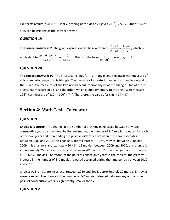like terms results in 4x = 21. Finally, dividing both sides by 4 gives  $x = \frac{21}{4}$  $\frac{21}{4}$  = 5.25. Either 21/4 or 5.25 can be gridded as the correct answer.

#### **QUESTION 19**

**The correct answer is 2.** The given expression can be rewritten as  $\frac{2x+6}{(x+2)^2} - \frac{2x+4}{(x+2)^2}$  $2x + 6$  2x + 4  $(x+2)^2$   $(x+2)$  $x+6$  2x  $\frac{2x+8}{(x+2)^2} - \frac{2x+7}{(x+2)^2}$ , which is equivalent to  $\frac{2x+6-2x-4}{x^2}$  $+2)^2$  $2x + 6 - 2x - 4$  $(x+2)$  $x + 6 - 2x$  $\frac{2}{(x+2)^2}$ , or  $\frac{2}{(x+2)^2}$ 2  $\frac{2}{(x+2)^2}$ . This is in the form  $\frac{u}{(x+2)^2}$ *a*  $\frac{a}{(x+2)^2}$ ; therefore, *a* = 2.

#### **QUESTION 20**

**The correct answer is 97.** The intersecting lines form a triangle, and the angle with measure of *x*° is an exterior angle of this triangle. The measure of an exterior angle of a triangle is equal to the sum of the measures of the two nonadjacent interior angles of the triangle. One of these angles has measure of 23° and the other, which is supplementary to the angle with measure 106°, has measure of 180° – 106° = 74°. Therefore, the value of *x* is 23 + 74 = 97.

### **Section 4: Math Test - Calculator**

#### **QUESTION 1**

**Choice D is correct**. The change in the number of 3-D movies released between any two consecutive years can be found by first estimating the number of 3-D movies released for each of the two years and then finding the positive difference between these two estimates. Between 2003 and 2004, this change is approximately 2 − 2 = 0 movies; between 2008 and 2009, this change is approximately 20 − 8 = 12 movies; between 2009 and 2010, this change is approximately 26 − 20 = 6 movies; and between 2010 and 2011, this change is approximately 46 − 26 = 20 movies. Therefore, of the pairs of consecutive years in the choices, the greatest increase in the number of 3-D movies released occurred during the time period between 2010 and 2011.

Choices A, B, and C are incorrect. Between 2010 and 2011, approximately 20 more 3-D movies were released. The change in the number of 3-D movies released between any of the other pairs of consecutive years is significantly smaller than 20.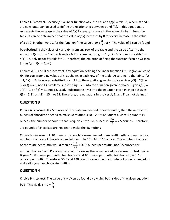**Choice C is correct**. Because *f* is a linear function of *x*, the equation *f*(*x*) = *mx* + *b*, where *m* and *b* are constants, can be used to define the relationship between *x* and *f*(*x*). In this equation, *m* represents the increase in the value of *f*(*x*) for every increase in the value of *x* by 1. From the table, it can be determined that the value of *f*(*x*) increases by 8 for every increase in the value

of *x* by 2. In other words, for the function f the value of m is  $\frac{8}{3}$  $\frac{0}{2}$ , or 4. The value of *b* can be found

by substituting the values of *x* and *f*(*x*) from any row of the table and the value of *m* into the equation  $f(x) = mx + b$  and solving for *b*. For example, using  $x = 1$ ,  $f(x) = 5$ , and  $m = 4$  yields  $5 = 1$ 4(1) + *b*. Solving for *b* yields *b* = 1. Therefore, the equation defining the function *f* can be written in the form  $f(x) = 4x + 1$ .

Choices A, B, and D are incorrect. Any equation defining the linear function *f* must give values of *f*(*x*) for corresponding values of *x*, as shown in each row of the table. According to the table, if *x*  $= 3$ ,  $f(x) = 13$ . However, substituting  $x = 3$  into the equation given in choice A gives  $f(3) = 2(3) + 3$ 3, or *f*(3) = 9, not 13. Similarly, substituting *x* = 3 into the equation given in choice B gives *f*(3) = 3(3) + 2, or *f*(3) = 11, not 13. Lastly, substituting *x* = 3 into the equation given in choice D gives *f*(3) = 5(3), or *f*(3) = 15, not 13. Therefore, the equations in choices A, B, and D cannot define *f*.

#### **QUESTION 3**

**Choice A is correct**. If 2.5 ounces of chocolate are needed for each muffin, then the number of ounces of chocolate needed to make 48 muffins is  $48 \times 2.5 = 120$  ounces. Since 1 pound = 16 ounces, the number of pounds that is equivalent to 120 ounces is  $\frac{120}{16}$  $\frac{120}{16}$  = 7.5 pounds. Therefore,

7.5 pounds of chocolate are needed to make the 48 muffins.

Choice B is incorrect. If 10 pounds of chocolate were needed to make 48 muffins, then the total number of ounces of chocolate needed would be  $10 \times 16 = 160$  ounces. The number of ounces of chocolate per muffin would then be  $\frac{160}{16}$  $\frac{100}{48}$  = 3.33 ounces per muffin, not 2.5 ounces per muffin. Choices C and D are also incorrect. Following the same procedures as used to test choice B gives 16.8 ounces per muffin for choice C and 40 ounces per muffin for choice D, not 2.5 ounces per muffin. Therefore, 50.5 and 120 pounds cannot be the number of pounds needed to make 48 signature chocolate muffins.

#### **QUESTION 4**

**Choice B is correct**. The value of *c* + *d* can be found by dividing both sides of the given equation by 3. This yields  $c + d = \frac{5}{6}$  $\frac{3}{3}$ .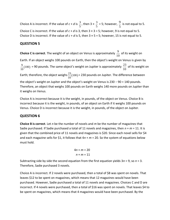Choice A is incorrect. If the value of  $c + d$  is  $\frac{3}{5}$ 5 , then 3  $\times \frac{3}{5}$ 5 = 5; however,  $\frac{9}{7}$ 5 is not equal to 5. Choice C is incorrect. If the value of  $c + d$  is 3, then  $3 \times 3 = 5$ ; however, 9 is not equal to 5. Choice D is incorrect. If the value of  $c + d$  is 5, then  $3 \times 5 = 5$ ; however, 15 is not equal to 5.

#### **QUESTION 5**

**Choice C is correct**. The weight of an object on Venus is approximately  $\frac{9}{16}$  $\frac{1}{10}$  of its weight on Earth. If an object weighs 100 pounds on Earth, then the object's weight on Venus is given by  $\frac{9}{6}(100)$  $\frac{9}{10}(100)$  = 90 pounds. The same object's weight on Jupiter is approximately  $\frac{23}{10}$  $\frac{25}{10}$  of its weight on Earth; therefore, the object weighs  $\frac{23}{10}(100)$  $\frac{25}{10}(100)$  = 230 pounds on Jupiter. The difference between the object's weight on Jupiter and the object's weight on Venus is 230 − 90 = 140 pounds. Therefore, an object that weighs 100 pounds on Earth weighs 140 more pounds on Jupiter than it weighs on Venus.

Choice A is incorrect because it is the weight, in pounds, of the object on Venus. Choice B is incorrect because it is the weight, in pounds, of an object on Earth if it weighs 100 pounds on Venus. Choice D is incorrect because it is the weight, in pounds, of the object on Jupiter.

#### **QUESTION 6**

**Choice B is correct**. Let *n* be the number of novels and *m* be the number of magazines that Sadie purchased. If Sadie purchased a total of 11 novels and magazines, then *n* + *m* = 11. It is given that the combined price of 11 novels and magazines is \$20. Since each novel sells for \$4 and each magazine sells for \$1, it follows that 4*n* + *m* = 20. So the system of equations below must hold.

$$
4n + m = 20
$$

$$
n + m = 11
$$

Subtracting side by side the second equation from the first equation yields 3*n* = 9, so *n* = 3. Therefore, Sadie purchased 3 novels.

Choice A is incorrect. If 2 novels were purchased, then a total of \$8 was spent on novels. That leaves \$12 to be spent on magazines, which means that 12 magazines would have been purchased. However, Sadie purchased a total of 11 novels and magazines. Choices C and D are incorrect. If 4 novels were purchased, then a total of \$16 was spent on novels. That leaves \$4 to be spent on magazines, which means that 4 magazines would have been purchased. By the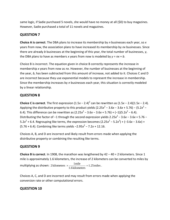same logic, if Sadie purchased 5 novels, she would have no money at all (\$0) to buy magazines. However, Sadie purchased a total of 11 novels and magazines.

#### **QUESTION 7**

**Choice A is correct**. The DBA plans to increase its membership by *n* businesses each year, so *x* years from now, the association plans to have increased its membership by *nx* businesses. Since there are already *b* businesses at the beginning of this year, the total number of businesses, *y*, the DBA plans to have as members *x* years from now is modeled by *y* = *nx* + *b*.

Choice B is incorrect. The equation given in choice B correctly represents the increase in membership *x* years from now as *nx*. However, the number of businesses at the beginning of the year, *b*, has been subtracted from this amount of increase, not added to it. Choices C and D are incorrect because they use exponential models to represent the increase in membership. Since the membership increases by *n* businesses each year, this situation is correctly modeled by a linear relationship.

#### **QUESTION 8**

**Choice C is correct**. The first expression  $(1.5x - 2.4)^2$  can be rewritten as  $(1.5x - 2.4)(1.5x - 2.4)$ . Applying the distributive property to this product yields (2.25*x* 2 − 3.6*x* − 3.6*x* + 5.76) − (5.2*x* 2 − 6.4). This difference can be rewritten as  $(2.25x^2 - 3.6x - 3.6x + 5.76) + (-1)(5.2x^2 - 6.4)$ . Distributing the factor of −1 through the second expression yields 2.25*x* 2 − 3.6*x* − 3.6*x* + 5.76 − 5.2 $x^2$  + 6.4. Regrouping like terms, the expression becomes (2.25 $x^2$  − 5.2 $x^2$ ) + (−3.6 $x$  − 3.6 $x$ ) + (5.76 + 6.4). Combining like terms yields -2.95x<sup>2</sup> - 7.2x + 12.16.

Choices A, B, and D are incorrect and likely result from errors made when applying the distributive property or combining the resulting like terms.

#### **QUESTION 9**

**Choice B is correct**. In 1908, the marathon was lengthened by 42 − 40 = 2 kilometers. Since 1 mile is approximately 1.6 kilometers, the increase of 2 kilometers can be converted to miles by

multiplying as shown: 2 kilometers  $\times \frac{1 \text{ mile}}{1.61 \text{ ft} \cdot \text{m}} = 1.25 \text{ miles}$  $\times \frac{1 \text{ mile}}{1.6 \text{ kilometers}} = 1.25 \text{ miles}.$ 

Choices A, C, and D are incorrect and may result from errors made when applying the conversion rate or other computational errors.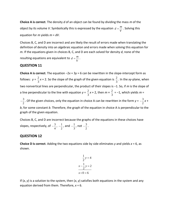**Choice A is correct**. The density *d* of an object can be found by dividing the mass *m* of the object by its volume *V*. Symbolically this is expressed by the equation  $d = \frac{m}{\sqrt{2}}$  $\frac{m}{V}$ . Solving this equation for *m* yields *m* = *dV*.

Choices B, C, and D are incorrect and are likely the result of errors made when translating the definition of density into an algebraic equation and errors made when solving this equation for *m*. If the equations given in choices B, C, and D are each solved for density *d*, none of the resulting equations are equivalent to  $d = \frac{m}{\sigma}$  $\frac{m}{V}$ .

#### **QUESTION 11**

**Choice A is correct**. The equation −2*x* + 3*y* = 6 can be rewritten in the slope-intercept form as follows:  $y = \frac{2}{3}$  $\frac{2}{3}$  x + 2. So the slope of the graph of the given equation is  $\frac{2}{3}$  $\frac{2}{3}$ . In the *xy*-plane, when two nonvertical lines are perpendicular, the product of their slopes is −1. So, if *m* is the slope of a line perpendicular to the line with equation  $y = \frac{2}{3}$  $\frac{2}{3}$  x + 2, then  $m \times \frac{2}{3}$  $\frac{2}{3}$  = -1, which yields *m* =

3  $-\frac{3}{2}$ . Of the given choices, only the equation in choice A can be rewritten in the form  $y = -\frac{3}{2}$  $-\frac{3}{2}x +$ *b*, for some constant *b*. Therefore, the graph of the equation in choice A is perpendicular to the graph of the given equation.

Choices B, C, and D are incorrect because the graphs of the equations in these choices have slopes, respectively, of  $-\frac{3}{4}$  $-\frac{3}{4}$ ,  $-\frac{1}{2}$  $-\frac{1}{2}$  , and  $-\frac{1}{3}$  $-\frac{1}{3}$ , not  $-\frac{3}{2}$  $-\frac{3}{2}$ .

#### **QUESTION 12**

**Choice D is correct**. Adding the two equations side by side eliminates *y* and yields *x* = 6, as shown.

$$
\frac{1}{2}y = 4
$$

$$
x - \frac{1}{2}y = 2
$$

$$
x + 0 = 6
$$

If (*x*, *y*) is a solution to the system, then (*x*, *y*) satisfies both equations in the system and any equation derived from them. Therefore, *x* = 6.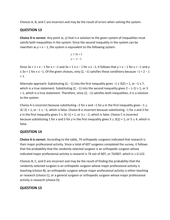Choices A, B, and C are incorrect and may be the result of errors when solving the system.

#### **QUESTION 13**

**Choice D is correct**. Any point (*x*, *y*) that is a solution to the given system of inequalities must satisfy both inequalities in the system. Since the second inequality in the system can be rewritten as *y* < *x* − 1, the system is equivalent to the following system.

$$
y \le 3x + 1
$$
  

$$
y < x - 1
$$

Since 3*x* + 1 > *x* − 1 for *x* > −1 and 3*x* + 1 ≤ *x* − 1 for *x* ≤ −1, it follows that *y* < *x* − 1 for *x* > −1 and *y* ≤ 3*x* + 1 for *x* ≤ −1. Of the given choices, only (2, −1) satisfies these conditions because −1 < 2 − 1  $= 1.$ 

Alternate approach: Substituting (2, −1) into the first inequality gives −1 ≤ 3(2) + 1, or −1 ≤ 7, which is a true statement. Substituting  $(2, -1)$  into the second inequality gives  $2 - (-1) > 1$ , or 3 > 1, which is a true statement. Therefore, since (2, −1) satisfies both inequalities, it is a solution to the system.

Choice A is incorrect because substituting −2 for *x* and −1 for *y* in the first inequality gives −1 ≤ 3(−2) + 1, or −1 ≤ −5, which is false. Choice B is incorrect because substituting −1 for *x* and 3 for *y* in the first inequality gives  $3 \le 3(-1) + 1$ , or  $3 \le -2$ , which is false. Choice C is incorrect because substituting 1 for *x* and 5 for *y* in the first inequality gives  $5 \leq 3(1) + 1$ , or  $5 \leq 4$ , which is false.

#### **QUESTION 14**

**Choice A is correct**. According to the table, 74 orthopedic surgeons indicated that research is their major professional activity. Since a total of 607 surgeons completed the survey, it follows that the probability that the randomly selected surgeon is an orthopedic surgeon whose indicated major professional activity is research is 74 out of 607, or 74/607, which is  $\approx 0.122$ .

Choices B, C, and D are incorrect and may be the result of finding the probability that the randomly selected surgeon is an orthopedic surgeon whose major professional activity is teaching (choice B), an orthopedic surgeon whose major professional activity is either teaching or research (choice C), or a general surgeon or orthopedic surgeon whose major professional activity is research (choice D).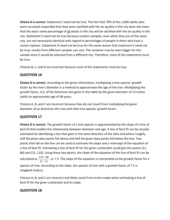**Choice A is correct**. Statement I need not be true. The fact that 78% of the 1,000 adults who were surveyed responded that they were satisfied with the air quality in the city does not mean that the exact same percentage of all adults in the city will be satisfied with the air quality in the city. Statement II need not be true because random samples, even when they are of the same size, are not necessarily identical with regard to percentages of people in them who have a certain opinion. Statement III need not be true for the same reason that statement II need not be true: results from different samples can vary. The variation may be even bigger for this sample since it would be selected from a different city. Therefore, none of the statements must be true.

Choices B, C, and D are incorrect because none of the statements must be true.

#### **QUESTION 16**

**Choice D is correct**. According to the given information, multiplying a tree species' growth factor by the tree's diameter is a method to approximate the age of the tree. Multiplying the growth factor, 4.0, of the American elm given in the table by the given diameter of 12 inches yields an approximate age of 48 years.

Choices A, B, and C are incorrect because they do not result from multiplying the given diameter of an American elm tree with that tree species' growth factor..

#### **QUESTION 17**

**Choice D is correct**. The growth factor of a tree species is approximated by the slope of a line of best fit that models the relationship between diameter and age. A line of best fit can be visually estimated by identifying a line that goes in the same direction of the data and where roughly half the given data points fall above and half the given data points fall below the line. Two points that fall on the line can be used to estimate the slope and *y*-intercept of the equation of a line of best fit. Estimating a line of best fit for the given scatterplot could give the points (11, 80) and (15, 110). Using these two points, the slope of the equation of the line of best fit can be calculated as  $\frac{110-80}{15-11}$  $15 - 11$ - $\frac{-80}{-11}$ , or 7.5. The slope of the equation is interpreted as the growth factor for a species of tree. According to the table, the species of tree with a growth factor of 7.5 is shagbark hickory.

Choices A, B, and C are incorrect and likely result from errors made when estimating a line of best fit for the given scatterplot and its slope.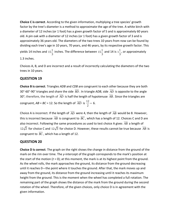**Choice C is correct**. According to the given information, multiplying a tree species' growth factor by the tree's diameter is a method to approximate the age of the tree. A white birch with a diameter of 12 inches (or 1 foot) has a given growth factor of 5 and is approximately 60 years old. A pin oak with a diameter of 12 inches (or 1 foot) has a given growth factor of 3 and is approximately 36 years old. The diameters of the two trees 10 years from now can be found by dividing each tree's age in 10 years, 70 years, and 46 years, by its respective growth factor. This yields 14 inches and  $15\frac{1}{3}$  $\frac{1}{3}$  inches. The difference between  $15\frac{1}{3}$  $\frac{1}{3}$  and 14 is  $1\frac{1}{3}$  $\frac{1}{3}$ , or approximately 1.3 inches.

Choices A, B, and D are incorrect and a result of incorrectly calculating the diameters of the two trees in 10 years.

#### **QUESTION 19**

**Choice B is correct**. Triangles *ADB* and *CDB* are congruent to each other because they are both 30°-60°-90° triangles and share the side *BD* . In triangle *ADB*, side *AD* is opposite to the angle 30°; therefore, the length of AD is half the length of hypotenuse AB . Since the triangles are congruent,  $AB = BC = 12$ . So the length of  $\overline{AD}$  is  $\frac{12}{2}$ 2  $= 6.$ 

Choice A is incorrect. If the length of AD were 4, then the length of AB would be 8. However, this is incorrect because AB is congruent to  $BC$ , which has a length of 12. Choices C and D are also incorrect. Following the same procedures as used to test choice A gives *AB* a length of 12 $\sqrt{2}$  for choice C and 12 $\sqrt{3}$  for choice D. However, these results cannot be true because AB is congruent to *BC* , which has a length of 12.

#### **QUESTION 20**

**Choice D is correct**. The graph on the right shows the change in distance from the ground of the mark on the rim over time. The *y*-intercept of the graph corresponds to the mark's position at the start of the motion  $(t = 0)$ ; at this moment, the mark is at its highest point from the ground. As the wheel rolls, the mark approaches the ground, its distance from the ground decreasing until it reaches 0—the point where it touches the ground. After that, the mark moves up and away from the ground, its distance from the ground increasing until it reaches its maximum height from the ground. This is the moment when the wheel has completed a full rotation. The remaining part of the graph shows the distance of the mark from the ground during the second rotation of the wheel. Therefore, of the given choices, only choice D is in agreement with the given information.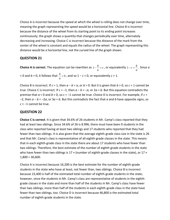Choice A is incorrect because the speed at which the wheel is rolling does not change over time, meaning the graph representing the speed would be a horizontal line. Choice B is incorrect because the distance of the wheel from its starting point to its ending point increases continuously; the graph shows a quantity that changes periodically over time, alternately decreasing and increasing. Choice C is incorrect because the distance of the mark from the center of the wheel is constant and equals the radius of the wheel. The graph representing this distance would be a horizontal line, not the curved line of the graph shown.

#### **QUESTION 21**

**Choice A is correct**. The equation can be rewritten as  $1 - \frac{b}{c} = c$  $\frac{b}{a} = c$ , or equivalently  $1 - c = \frac{b}{a}$ . *a* Since *a* < 0 and  $b$  > 0, it follows that  $\frac{b}{-}<$  0  $\frac{a}{a}$  < 0, and so 1 – *c* < 0, or equivalently *c* > 1.

Choice B is incorrect. If  $c = 1$ , then  $a - b = a$ , or  $b = 0$ . But it is given that  $b > 0$ , so  $c = 1$  cannot be true. Choice C is incorrect. If *c* = −1, then *a* − *b* = −*a*, or 2*a* = *b*. But this equation contradicts the premise that *a* < 0 and *b* > 0, so *c* = −1 cannot be true. Choice D is incorrect. For example, if *c* = −2, then *a* − *b* = −2*a*, or 3*a* = *b*. But this contradicts the fact that *a* and *b* have opposite signs, so *c* < −1 cannot be true.

#### **QUESTION 22**

**Choice C is correct**. It is given that 34.6% of 26 students in Mr. Camp's class reported that they had at least two siblings. Since 34.6% of 26 is 8.996, there must have been 9 students in the class who reported having at least two siblings and 17 students who reported that they had fewer than two siblings. It is also given that the average eighth-grade class size in the state is 26 and that Mr. Camp's class is representative of all eighth-grade classes in the state. This means that in each eighth-grade class in the state there are about 17 students who have fewer than two siblings. Therefore, the best estimate of the number of eighth-grade students in the state who have fewer than two siblings is 17  $\times$  (number of eighth-grade classes in the state), or 17  $\times$  $1,800 = 30,600.$ 

Choice A is incorrect because 16,200 is the best estimate for the number of eighth-grade students in the state who have at least, not fewer than, two siblings. Choice B is incorrect because 23,400 is half of the estimated total number of eighth-grade students in the state; however, since the students in Mr. Camp's class are representative of students in the eighthgrade classes in the state and more than half of the students in Mr. Camp's class have fewer than two siblings, more than half of the students in each eighth-grade class in the state have fewer than two siblings, too. Choice D is incorrect because 46,800 is the estimated total number of eighth-grade students in the state.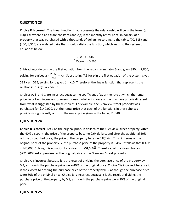#### **QUESTION 23**

**Choice D is correct**. The linear function that represents the relationship will be in the form *r*(*p*) = *ap* + *b*, where *a* and *b* are constants and *r*(*p*) is the monthly rental price, in dollars, of a property that was purchased with *p* thousands of dollars. According to the table, (70, 515) and (450, 3,365) are ordered pairs that should satisfy the function, which leads to the system of equations below.

> $70a + b = 515$  $\begin{cases}\n70a + b = 515 \\
> 450a + b = 3,365\n\end{cases}$  $\int 450a + b = 3$  $a + b$  $a + b$

Subtracting side by side the first equation from the second eliminates *b* and gives 380*a* = 2,850; solving for *a* gives  $a = \frac{2,850}{200} = 7.5$ 380  $a = \frac{2,600}{200} = 7.5$ . Substituting 7.5 for *a* in the first equation of the system gives 525 + *b* = 515; solving for *b* gives *b* = −10. Therefore, the linear function that represents the relationship is *r*(*p*) = 7.5*p* − 10.

Choices A, B, and C are incorrect because the coefficient of *p*, or the rate at which the rental price, in dollars, increases for every thousand-dollar increase of the purchase price is different from what is suggested by these choices. For example, the Glenview Street property was purchased for \$140,000, but the rental price that each of the functions in these choices provides is significantly off from the rental price given in the table, \$1,040.

#### **QUESTION 24**

**Choice B is correct**. Let *x* be the original price, in dollars, of the Glenview Street property. After the 40% discount, the price of the property became 0.6*x* dollars, and after the additional 20% off the discounted price, the price of the property became 0.8(0.6*x*). Thus, in terms of the original price of the property, *x*, the purchase price of the property is 0.48*x*. It follows that 0.48*x*  $= 140,000$ . Solving this equation for *x* gives  $x = 291,666.6$ . Therefore, of the given choices, \$291,700 best approximates the original price of the Glenview Street property.

Choice A is incorrect because it is the result of dividing the purchase price of the property by 0.4, as though the purchase price were 40% of the original price. Choice C is incorrect because it is the closest to dividing the purchase price of the property by 0.6, as though the purchase price were 60% of the original price. Choice D is incorrect because it is the result of dividing the purchase price of the property by 0.8, as though the purchase price were 80% of the original price.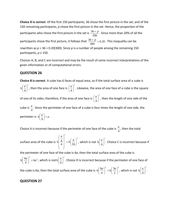**Choice D is correct**. Of the first 150 participants, 36 chose the first picture in the set, and of the 150 remaining participants, *p* chose the first picture in the set. Hence, the proportion of the participants who chose the first picture in the set is  $\frac{36}{2}$ 300  $\frac{p}{p}$ . Since more than 20% of all the participants chose the first picture, it follows that  $\frac{36+p}{2000} > 0.20$ 300  $\frac{p}{p}$  > 0.20 . This inequality can be rewritten as  $p + 36 > 0.20(300)$ . Since p is a number of people among the remaining 150 participants, *p* ≤ 150.

Choices A, B, and C are incorrect and may be the result of some incorrect interpretations of the given information or of computational errors.

#### **QUESTION 26**

**Choice B is correct**. A cube has 6 faces of equal area, so if the total surface area of a cube is 2 6  $\left(\frac{a}{4}\right)^2$ , then the area of one face is 2  $\left(\frac{a}{4}\right)^2$ . Likewise, the area of one face of a cube is the square of one of its sides; therefore, if the area of one face is 2  $\left(\frac{a}{4}\right)^2$ , then the length of one side of the cube is  $\frac{a}{4}$  $\frac{a}{\tau}$ . Since the perimeter of one face of a cube is four times the length of one side, the perimeter is 4  $\left(\frac{a}{4}\right)$  =  $\left(\frac{a}{a}\right) = a$ .

Choice A is incorrect because if the perimeter of one face of the cube is  $\frac{u}{4}$  $\frac{a}{4}$ , then the total

surface area of the cube is 2  $\left| \frac{\overline{4}}{4} \right| = 6 \left( \frac{a}{4} \right)^2$  $4 \mid 0 \t(16)$  $\left(\frac{\frac{a}{4}}{4}\right)^2 = 6\left(\frac{a}{16}\right)^2$  $\left(\frac{a}{b}\right)^2$ , which is not 2 6  $\left(\frac{a}{4}\right)^2$ . Choice C is incorrect because if

the perimeter of one face of the cube is 4*a*, then the total surface area of the cube is  $6\left(\frac{4a}{4}\right)^2 = 6a^2$  $\left(\frac{4a}{4}\right)^2 =$  $\left(\frac{a}{b}\right)^2 = 6a^2$ , which is not 2 6  $\left(\frac{a}{4}\right)^2$  . Choice D is incorrect because if the perimeter of one face of

the cube is 6*a*, then the total surface area of the cube is  $6\left(\frac{6a}{4}\right)^2 = 6\left(\frac{3a}{2}\right)^2$  $\left(\frac{6a}{4}\right)^2 = 6\left(\frac{3a}{2}\right)^2$ ,  $\left(\frac{a}{b}\right)^2 = 6\left(\frac{3a}{2}\right)^2$ , which is not 2 6  $\left(\frac{a}{4}\right)^2$ .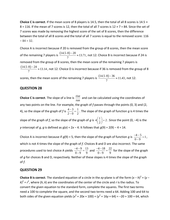**Choice C is correct**. If the mean score of 8 players is 14.5, then the total of all 8 scores is 14.5 × 8 = 116. If the mean of 7 scores is 12, then the total of all 7 scores is 12  $\times$  7 = 84. Since the set of 7 scores was made by removing the highest score of the set of 8 scores, then the difference between the total of all 8 scores and the total of all 7 scores is equal to the removed score: 116 − 84 = 32.

Choice A is incorrect because if 20 is removed from the group of 8 scores, then the mean score of the remaining 7 players is  $\frac{(14.5\cdot8)-20}{7}\approx13.71$ 7  $\frac{(1.8)-20}{7}$   $\approx$  13.71, not 12. Choice B is incorrect because if 24 is removed from the group of 8 scores, then the mean score of the remaining 7 players is  $\frac{(14.5 \cdot 8) - 24}{5} \approx 13.14$ 7  $-8)-24$  $\approx$  13.14, not 12. Choice D is incorrect because if 36 is removed from the group of 8 scores, then the mean score of the remaining 7 players is  $\frac{(14.5 \cdot 8) - 36}{5} \approx 11.43$  $\frac{(0.8)-36}{2} \approx 11.43$ , not 12.

7

#### **QUESTION 28**

**Choice C is correct**. The slope of a line is  $\frac{\text{rise}}{}$  $\frac{1200}{120}$  and can be calculated using the coordinates of  $100$ any two points on the line. For example, the graph of *f* passes through the points (0, 3) and (2, 4), so the slope of the graph of f is  $\frac{4-3}{2-2} = \frac{1}{2}$  $2 - 0$  2  $\frac{-3}{2}$  $\frac{0}{-0}$  =  $\frac{1}{2}$ . The slope of the graph of function *g* is 4 times the slope of the graph of *f*, so the slope of the graph of *g* is  $4\left(\frac{1}{2}\right) = 2$  $\left(\frac{1}{2}\right)$  = . Since the point (0, −4) is the *y*-intercept of *g*, *g* is defined as *g*(*x*) = 2*x* − 4. It follows that *g*(9) = 2(9) − 4 = 14.

Choice A is incorrect because if  $g(9)$  = 5, then the slope of the graph of function g is  $\frac{-4-5}{2}$  = 1  $0 - 9$  $\frac{-4-5}{2}$  =  $\frac{6}{-9}$  = 1, which is not 4 times the slope of the graph of *f*. Choices B and D are also incorrect. The same procedures used to test choice A yields  $\frac{-4-9}{0.0} = \frac{13}{0.0}$  $0 - 9$  9  $\frac{-4-9}{2}$  =  $\frac{1-9}{-9} = \frac{13}{9}$  and  $\frac{-4-18}{0-9} = \frac{22}{9}$  $0 - 9$  9  $\frac{-4-18}{2}$  $\frac{16}{-9} = \frac{22}{9}$  for the slope of the graph of *g* for choices B and D, respectively. Neither of these slopes is 4 times the slope of the graph of *f*.

#### **QUESTION 29**

**Choice B is correct**. The standard equation of a circle in the *xy*-plane is of the form  $(x - h)^2 + (y - h)^2$ *k*) 2 = *r* 2 , where (*h*, *k*) are the coordinates of the center of the circle and *r* is the radius. To convert the given equation to the standard form, complete the squares. The first two terms need a 100 to complete the square, and the second two terms need a 64. Adding 100 and 64 to both sides of the given equation yields  $(x^2 + 20x + 100) + (y^2 + 16y + 64) = -20 + 100 + 64$ , which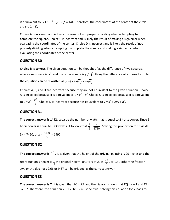is equivalent to  $(x + 10)^2 + (y + 8)^2 = 144$ . Therefore, the coordinates of the center of the circle are (−10, −8).

Choice A is incorrect and is likely the result of not properly dividing when attempting to complete the square. Choice C is incorrect and is likely the result of making a sign error when evaluating the coordinates of the center. Choice D is incorrect and is likely the result of not properly dividing when attempting to complete the square and making a sign error when evaluating the coordinates of the center.

#### **QUESTION 30**

**Choice B is correct**. The given equation can be thought of as the difference of two squares, where one square is  $x^2$  and the other square is  $\left(\sqrt{a}\right)^2$ . Using the difference of squares formula, the equation can be rewritten as  $y = (x + \sqrt{a})(x - \sqrt{a})$ .

Choices A, C, and D are incorrect because they are not equivalent to the given equation. Choice A is incorrect because it is equivalent to  $y = x^2 - a^2$ . Choice C is incorrect because it is equivalent to 2  $a^2$ 4  $y = x^2 - \frac{a^2}{4}$ . Choice D is incorrect because it is equivalent to  $y = x^2 + 2ax + a^2$ .

#### **QUESTION 31**

**The correct answer is 1492.** Let *x* be the number of watts that is equal to 2 horsepower. Since 5 horsepower is equal to 3730 watts, it follows that  $\frac{2}{5}$ 5 3730  $=\frac{x}{2700}$ . Solving this proportion for *x* yields 5*x* = 7460, or *x* =  $\frac{7460}{7}$  $\frac{100}{5}$  = 1492.

#### **QUESTION 32**

**The correct answer is**  29  $\frac{3}{3}$ . It is given that the height of the original painting is 29 inches and the reproduction's height is  $\frac{1}{2}$  $\frac{1}{3}$  the original height. One-third of 29 is  $\frac{29}{3}$  $\frac{25}{3}$ , or 9.6. Either the fraction 29/3 or the decimals 9.66 or 9.67 can be gridded as the correct answer.

#### **QUESTION 33**

**The correct answer is 7.** It is given that *PQ* = *RS*, and the diagram shows that *PQ* = *x* − 1 and *RS* = 3*x* − 7. Therefore, the equation *x* − 1 = 3*x* − 7 must be true. Solving this equation for *x* leads to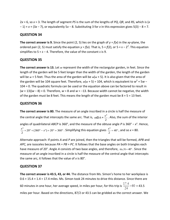2*x* = 6, so *x* = 3. The length of segment *PS* is the sum of the lengths of *PQ*, *QR*, and *RS*, which is (*x* − 1) + *x* + (3*x* − 7), or equivalently 5*x* − 8. Substituting 3 for *x* in this expression gives 5(3) − 8 = 7.

#### **QUESTION 34**

**The correct answer is 9.** Since the point (2, 5) lies on the graph of  $y = f(x)$  in the *xy*-plane, the ordered pair (2, 5) must satisfy the equation  $y = f(x)$ . That is,  $5 = f(2)$ , or  $5 = k - 2^2$ . This equation simplifies to 5 = *k* − 4. Therefore, the value of the constant *k* is 9.

#### **QUESTION 35**

**The correct answer is 13.** Let *w* represent the width of the rectangular garden, in feet. Since the length of the garden will be 5 feet longer than the width of the garden, the length of the garden will be *w* + 5 feet. Thus the area of the garden will be *w*(*w* + 5). It is also given that the area of the garden will be 104 square feet. Therefore, w(w + 5) = 104, which is equivalent to w<sup>2</sup> + 5w − 104 = 0. The quadratic formula can be used or the equation above can be factored to result in (*w* + 13)(*w* − 8) = 0. Therefore, *w* = 8 and *w* = −13. Because width cannot be negative, the width of the garden must be 8 feet. This means the length of the garden must be  $8 + 5 = 13$  feet.

#### **QUESTION 36**

**The correct answer is 80.** The measure of an angle inscribed in a circle is half the measure of the central angle that intercepts the same arc. That is,  $mDA = \frac{x}{2}$  $\Delta A = \frac{x^{\circ}}{2}$ . Also, the sum of the interior angles of quadrilateral *ABCP* is 360°, and the measure of the obtuse angle *P* is 360° − *x*°. Hence,  $\frac{x^{\circ}}{2} + 20^{\circ} + (360^{\circ} - x^{\circ}) + 20^{\circ} = 360$  $\frac{x^{\circ}}{2}$  + 20<sup>o</sup> + (360<sup>o</sup> – x<sup>o</sup>) + 20<sup>o</sup> = 360<sup>o</sup>. Simplifying this equation gives  $\frac{x^{\circ}}{2}$  = 40 2  $\frac{x^{\circ}}{2} = 40^{\circ}$ , and so *x* = 80.

Alternate approach: If points *A* and *P* are joined, then the triangles that will be formed, *APB* and *APC*, are isosceles because *PA* = *PB* = *PC*. It follows that the base angles on both triangles each have measure of 20°. Angle A consists of two base angles, and therefore,  $m\angle A = 40^\circ$ . Since the measure of an angle inscribed in a circle is half the measure of the central angle that intercepts the same arc, it follows that the value of *x* is 80°.

#### **QUESTION 37**

**The correct answer is 43.5, 43, or 44.** The distance from Ms. Simon's home to her workplace is 0.6 + 15.4 + 1.4 = 17.4 miles. Ms. Simon took 24 minutes to drive this distance. Since there are 60 minutes in one hour, her average speed, in miles per hour, for this trip is  $\frac{17.4}{24} \times 60 = 43.5$ miles per hour. Based on the directions, 87/2 or 43.5 can be gridded as the correct answer. We